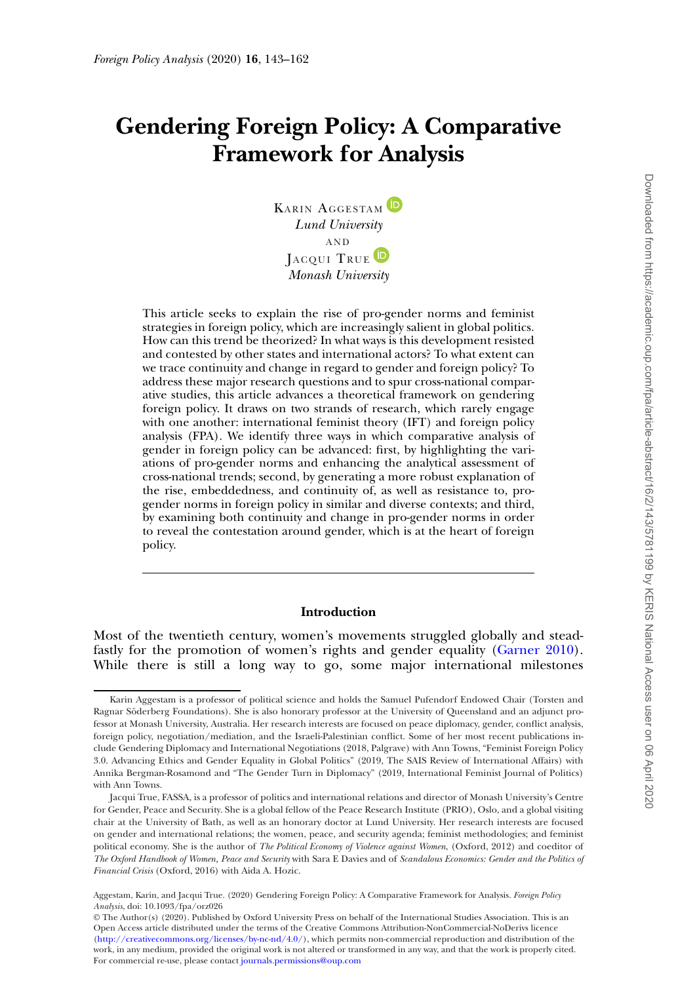# **Gendering Foreign Policy: A Comparative Framework for Analysis**

KARIN AGGESTAM *Lund University* AND JACQUI TRUE<sup>D</sup> *Monash University*

This article seeks to explain the rise of pro-gender norms and feminist strategies in foreign policy, which are increasingly salient in global politics. How can this trend be theorized? In what ways is this development resisted and contested by other states and international actors? To what extent can we trace continuity and change in regard to gender and foreign policy? To address these major research questions and to spur cross-national comparative studies, this article advances a theoretical framework on gendering foreign policy. It draws on two strands of research, which rarely engage with one another: international feminist theory (IFT) and foreign policy analysis (FPA). We identify three ways in which comparative analysis of gender in foreign policy can be advanced: first, by highlighting the variations of pro-gender norms and enhancing the analytical assessment of cross-national trends; second, by generating a more robust explanation of the rise, embeddedness, and continuity of, as well as resistance to, progender norms in foreign policy in similar and diverse contexts; and third, by examining both continuity and change in pro-gender norms in order to reveal the contestation around gender, which is at the heart of foreign policy.

## **Introduction**

Most of the twentieth century, women's movements struggled globally and steadfastly for the promotion of women's rights and gender equality [\(Garner 2010\)](#page-17-0). While there is still a long way to go, some major international milestones

Karin Aggestam is a professor of political science and holds the Samuel Pufendorf Endowed Chair (Torsten and Ragnar Söderberg Foundations). She is also honorary professor at the University of Queensland and an adjunct professor at Monash University, Australia. Her research interests are focused on peace diplomacy, gender, conflict analysis, foreign policy, negotiation/mediation, and the Israeli-Palestinian conflict. Some of her most recent publications include Gendering Diplomacy and International Negotiations (2018, Palgrave) with Ann Towns, "Feminist Foreign Policy 3.0. Advancing Ethics and Gender Equality in Global Politics" (2019, The SAIS Review of International Affairs) with Annika Bergman-Rosamond and "The Gender Turn in Diplomacy" (2019, International Feminist Journal of Politics) with Ann Towns.

Jacqui True, FASSA, is a professor of politics and international relations and director of Monash University's Centre for Gender, Peace and Security. She is a global fellow of the Peace Research Institute (PRIO), Oslo, and a global visiting chair at the University of Bath, as well as an honorary doctor at Lund University. Her research interests are focused on gender and international relations; the women, peace, and security agenda; feminist methodologies; and feminist political economy. She is the author of *The Political Economy of Violence against Women*, (Oxford, 2012) and coeditor of *The Oxford Handbook of Women, Peace and Security* with Sara E Davies and of *Scandalous Economics: Gender and the Politics of Financial Crisis* (Oxford, 2016) with Aida A. Hozic.

Aggestam, Karin, and Jacqui True. (2020) Gendering Foreign Policy: A Comparative Framework for Analysis. *Foreign Policy Analysis*, doi: 10.1093/fpa/orz026

<sup>©</sup> The Author(s) (2020). Published by Oxford University Press on behalf of the International Studies Association. This is an Open Access article distributed under the terms of the Creative Commons Attribution-NonCommercial-NoDerivs licence [\(http://creativecommons.org/licenses/by-nc-nd/4.0/\)](http://creativecommons.org/licenses/by-nc-nd/4.0/), which permits non-commercial reproduction and distribution of the work, in any medium, provided the original work is not altered or transformed in any way, and that the work is properly cited. For commercial re-use, please contact [journals.permissions@oup.com](mailto:journals.permissions@oup.com)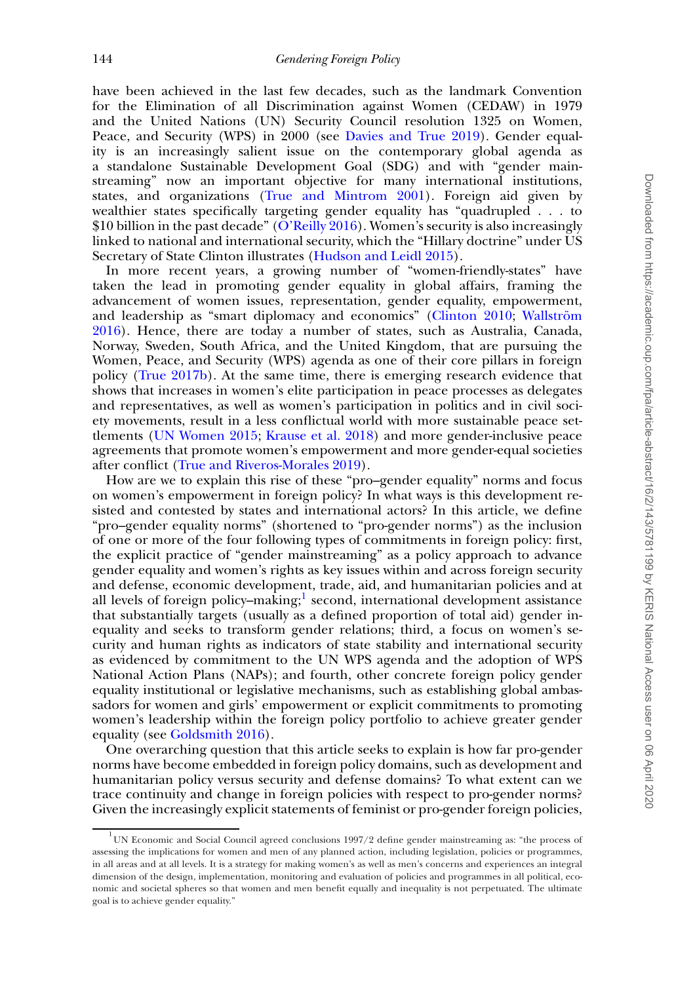have been achieved in the last few decades, such as the landmark Convention for the Elimination of all Discrimination against Women (CEDAW) in 1979 and the United Nations (UN) Security Council resolution 1325 on Women, Peace, and Security (WPS) in 2000 (see [Davies and True 2019\)](#page-17-1). Gender equality is an increasingly salient issue on the contemporary global agenda as a standalone Sustainable Development Goal (SDG) and with "gender mainstreaming" now an important objective for many international institutions, states, and organizations [\(True and Mintrom 2001\)](#page-19-0). Foreign aid given by wealthier states specifically targeting gender equality has "quadrupled . . . to \$10 billion in the past decade" [\(O'Reilly 2016\)](#page-18-0). Women's security is also increasingly linked to national and international security, which the "Hillary doctrine" under US Secretary of State Clinton illustrates [\(Hudson and Leidl 2015\)](#page-18-1).

In more recent years, a growing number of "women-friendly-states" have taken the lead in promoting gender equality in global affairs, framing the advancement of women issues, representation, gender equality, empowerment, and leadership as "smart diplomacy and economics" [\(Clinton 2010;](#page-17-2) Wallström [2016\). Hence, there are today a number of states, such as Australia, Canada,](#page-19-1) Norway, Sweden, South Africa, and the United Kingdom, that are pursuing the Women, Peace, and Security (WPS) agenda as one of their core pillars in foreign policy [\(True 2017b\)](#page-19-2). At the same time, there is emerging research evidence that shows that increases in women's elite participation in peace processes as delegates and representatives, as well as women's participation in politics and in civil society movements, result in a less conflictual world with more sustainable peace settlements [\(UN Women 2015;](#page-19-3) [Krause et al. 2018\)](#page-18-2) and more gender-inclusive peace agreements that promote women's empowerment and more gender-equal societies after conflict [\(True and Riveros-Morales 2019\)](#page-19-4).

How are we to explain this rise of these "pro–gender equality" norms and focus on women's empowerment in foreign policy? In what ways is this development resisted and contested by states and international actors? In this article, we define "pro–gender equality norms" (shortened to "pro-gender norms") as the inclusion of one or more of the four following types of commitments in foreign policy: first, the explicit practice of "gender mainstreaming" as a policy approach to advance gender equality and women's rights as key issues within and across foreign security and defense, economic development, trade, aid, and humanitarian policies and at all levels of foreign policy–making[;1](#page-1-0) second, international development assistance that substantially targets (usually as a defined proportion of total aid) gender inequality and seeks to transform gender relations; third, a focus on women's security and human rights as indicators of state stability and international security as evidenced by commitment to the UN WPS agenda and the adoption of WPS National Action Plans (NAPs); and fourth, other concrete foreign policy gender equality institutional or legislative mechanisms, such as establishing global ambassadors for women and girls' empowerment or explicit commitments to promoting women's leadership within the foreign policy portfolio to achieve greater gender equality (see [Goldsmith 2016\)](#page-17-3).

One overarching question that this article seeks to explain is how far pro-gender norms have become embedded in foreign policy domains, such as development and humanitarian policy versus security and defense domains? To what extent can we trace continuity and change in foreign policies with respect to pro-gender norms? Given the increasingly explicit statements of feminist or pro-gender foreign policies,

<span id="page-1-0"></span><sup>&</sup>lt;sup>1</sup>UN Economic and Social Council agreed conclusions 1997/2 define gender mainstreaming as: "the process of assessing the implications for women and men of any planned action, including legislation, policies or programmes, in all areas and at all levels. It is a strategy for making women's as well as men's concerns and experiences an integral dimension of the design, implementation, monitoring and evaluation of policies and programmes in all political, economic and societal spheres so that women and men benefit equally and inequality is not perpetuated. The ultimate goal is to achieve gender equality."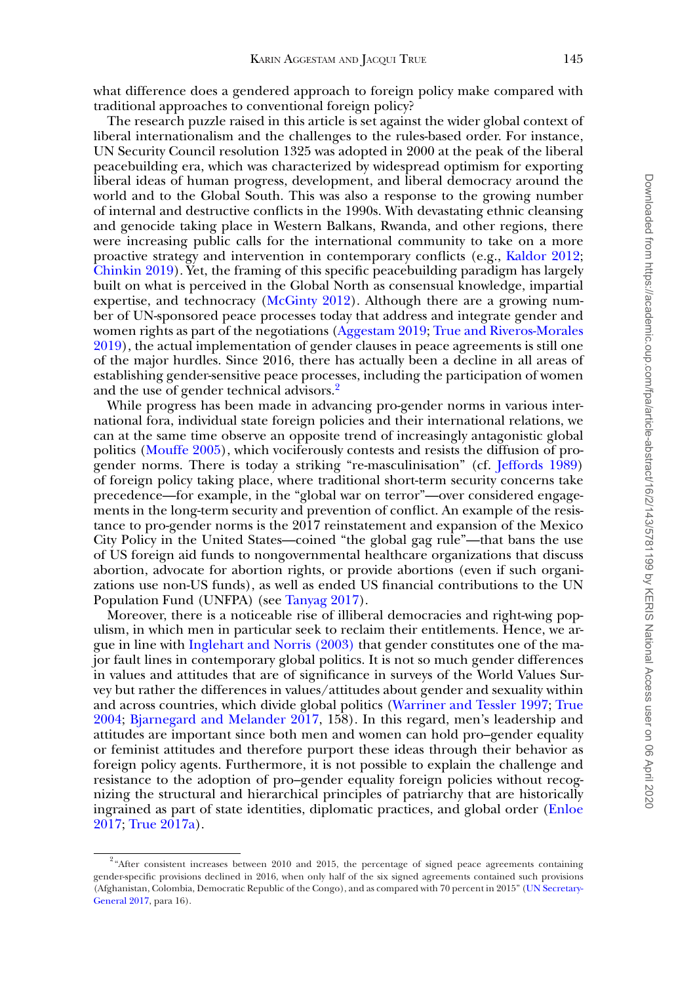what difference does a gendered approach to foreign policy make compared with traditional approaches to conventional foreign policy?

The research puzzle raised in this article is set against the wider global context of liberal internationalism and the challenges to the rules-based order. For instance, UN Security Council resolution 1325 was adopted in 2000 at the peak of the liberal peacebuilding era, which was characterized by widespread optimism for exporting liberal ideas of human progress, development, and liberal democracy around the world and to the Global South. This was also a response to the growing number of internal and destructive conflicts in the 1990s. With devastating ethnic cleansing and genocide taking place in Western Balkans, Rwanda, and other regions, there were increasing public calls for the international community to take on a more proactive strategy and intervention in contemporary conflicts (e.g., [Kaldor 2012;](#page-18-3) [Chinkin 2019\)](#page-17-4). Yet, the framing of this specific peacebuilding paradigm has largely built on what is perceived in the Global North as consensual knowledge, impartial expertise, and technocracy [\(McGinty 2012\)](#page-18-4). Although there are a growing number of UN-sponsored peace processes today that address and integrate gender and women rights as part of the negotiations [\(Aggestam 2019;](#page-16-0) True and Riveros-Morales [2019\), the actual implementation of gender clauses in peace agreements is still one](#page-19-4) of the major hurdles. Since 2016, there has actually been a decline in all areas of establishing gender-sensitive peace processes, including the participation of women and the use of gender technical advisors.<sup>2</sup>

While progress has been made in advancing pro-gender norms in various international fora, individual state foreign policies and their international relations, we can at the same time observe an opposite trend of increasingly antagonistic global politics [\(Mouffe 2005\)](#page-18-5), which vociferously contests and resists the diffusion of progender norms. There is today a striking "re-masculinisation" (cf. [Jeffords 1989\)](#page-18-6) of foreign policy taking place, where traditional short-term security concerns take precedence—for example, in the "global war on terror"—over considered engagements in the long-term security and prevention of conflict. An example of the resistance to pro-gender norms is the 2017 reinstatement and expansion of the Mexico City Policy in the United States—coined "the global gag rule"—that bans the use of US foreign aid funds to nongovernmental healthcare organizations that discuss abortion, advocate for abortion rights, or provide abortions (even if such organizations use non-US funds), as well as ended US financial contributions to the UN Population Fund (UNFPA) (see [Tanyag 2017\)](#page-19-5).

Moreover, there is a noticeable rise of illiberal democracies and right-wing populism, in which men in particular seek to reclaim their entitlements. Hence, we argue in line with [Inglehart and Norris \(2003\)](#page-18-7) that gender constitutes one of the major fault lines in contemporary global politics. It is not so much gender differences in values and attitudes that are of significance in surveys of the World Values Survey but rather the differences in values/attitudes about gender and sexuality within [and across countries, which divide global politics \(](#page-19-7)[Warriner and Tessler 1997](#page-19-6)[;](#page-19-7) True 2004; [Bjarnegard and Melander 2017,](#page-17-5) 158). In this regard, men's leadership and attitudes are important since both men and women can hold pro–gender equality or feminist attitudes and therefore purport these ideas through their behavior as foreign policy agents. Furthermore, it is not possible to explain the challenge and resistance to the adoption of pro–gender equality foreign policies without recognizing the structural and hierarchical principles of patriarchy that are historically [ingrained as part of state identities, diplomatic practices, and global order \(Enloe](#page-17-6) 2017; [True 2017a\)](#page-19-8).

<span id="page-2-0"></span> $2^\circ$  After consistent increases between 2010 and 2015, the percentage of signed peace agreements containing gender-specific provisions declined in 2016, when only half of the six signed agreements contained such provisions [\(Afghanistan, Colombia, Democratic Republic of the Congo\), and as compared with 70 percent in 2015" \(UN Secretary-](#page-19-9)General 2017, para 16).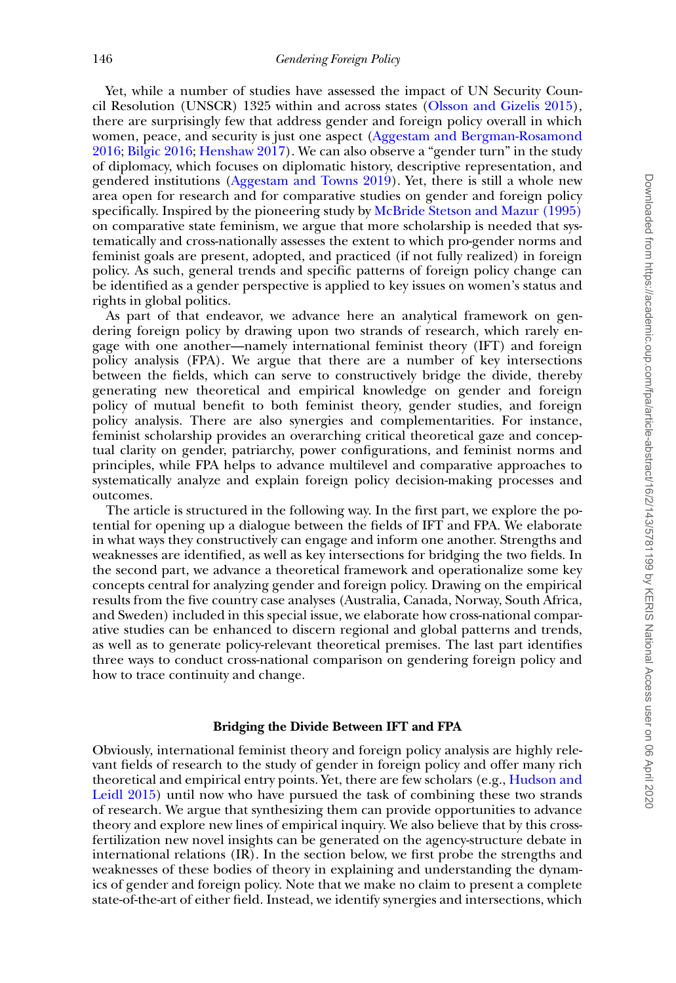Yet, while a number of studies have assessed the impact of UN Security Council Resolution (UNSCR) 1325 within and across states [\(Olsson and Gizelis 2015\)](#page-18-8), there are surprisingly few that address gender and foreign policy overall in which [women, peace, and security is just one aspect \(Aggestam and Bergman-Rosamond](#page-16-1) 2016; [Bilgic 2016;](#page-17-7) [Henshaw 2017\)](#page-17-8). We can also observe a "gender turn" in the study of diplomacy, which focuses on diplomatic history, descriptive representation, and gendered institutions [\(Aggestam and Towns 2019\)](#page-16-2). Yet, there is still a whole new area open for research and for comparative studies on gender and foreign policy specifically. Inspired by the pioneering study by [McBride Stetson and Mazur \(1995\)](#page-18-9) on comparative state feminism, we argue that more scholarship is needed that systematically and cross-nationally assesses the extent to which pro-gender norms and feminist goals are present, adopted, and practiced (if not fully realized) in foreign policy. As such, general trends and specific patterns of foreign policy change can be identified as a gender perspective is applied to key issues on women's status and rights in global politics.

As part of that endeavor, we advance here an analytical framework on gendering foreign policy by drawing upon two strands of research, which rarely engage with one another—namely international feminist theory (IFT) and foreign policy analysis (FPA). We argue that there are a number of key intersections between the fields, which can serve to constructively bridge the divide, thereby generating new theoretical and empirical knowledge on gender and foreign policy of mutual benefit to both feminist theory, gender studies, and foreign policy analysis. There are also synergies and complementarities. For instance, feminist scholarship provides an overarching critical theoretical gaze and conceptual clarity on gender, patriarchy, power configurations, and feminist norms and principles, while FPA helps to advance multilevel and comparative approaches to systematically analyze and explain foreign policy decision-making processes and outcomes.

The article is structured in the following way. In the first part, we explore the potential for opening up a dialogue between the fields of IFT and FPA. We elaborate in what ways they constructively can engage and inform one another. Strengths and weaknesses are identified, as well as key intersections for bridging the two fields. In the second part, we advance a theoretical framework and operationalize some key concepts central for analyzing gender and foreign policy. Drawing on the empirical results from the five country case analyses (Australia, Canada, Norway, South Africa, and Sweden) included in this special issue, we elaborate how cross-national comparative studies can be enhanced to discern regional and global patterns and trends, as well as to generate policy-relevant theoretical premises. The last part identifies three ways to conduct cross-national comparison on gendering foreign policy and how to trace continuity and change.

## **Bridging the Divide Between IFT and FPA**

Obviously, international feminist theory and foreign policy analysis are highly relevant fields of research to the study of gender in foreign policy and offer many rich theoretical and empirical entry points. Yet, there are few scholars (e.g., Hudson and [Leidl 2015\) until now who have pursued the task of combining these two strands](#page-18-1) of research. We argue that synthesizing them can provide opportunities to advance theory and explore new lines of empirical inquiry. We also believe that by this crossfertilization new novel insights can be generated on the agency-structure debate in international relations (IR). In the section below, we first probe the strengths and weaknesses of these bodies of theory in explaining and understanding the dynamics of gender and foreign policy. Note that we make no claim to present a complete state-of-the-art of either field. Instead, we identify synergies and intersections, which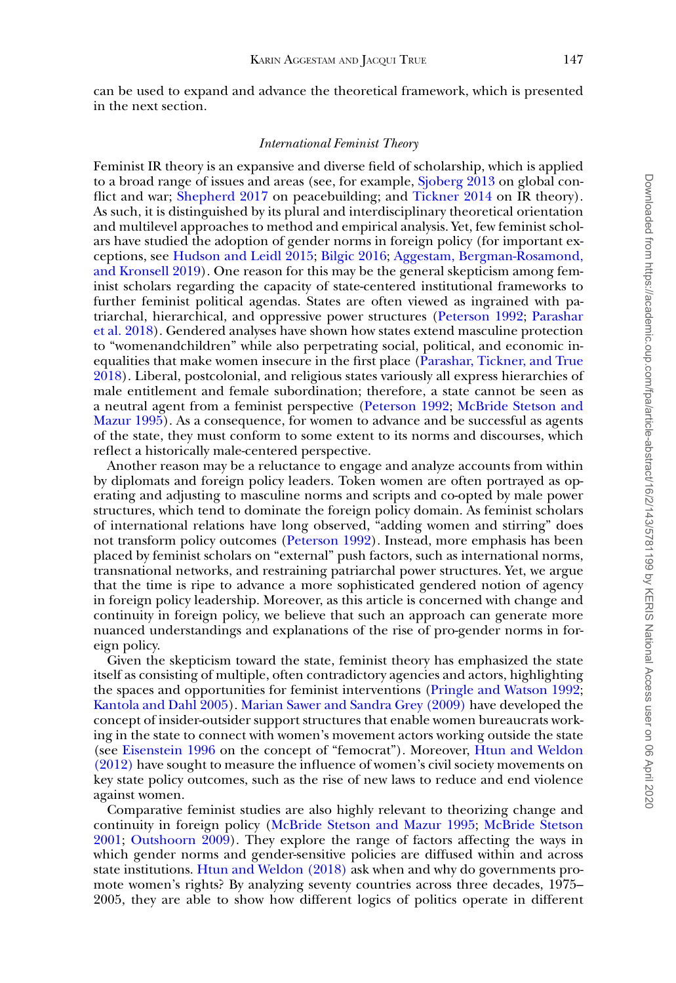can be used to expand and advance the theoretical framework, which is presented in the next section.

#### *International Feminist Theory*

Feminist IR theory is an expansive and diverse field of scholarship, which is applied to a broad range of issues and areas (see, for example, [Sjoberg 2013](#page-18-10) on global conflict and war; [Shepherd 2017](#page-18-11) on peacebuilding; and [Tickner 2014](#page-19-10) on IR theory). As such, it is distinguished by its plural and interdisciplinary theoretical orientation and multilevel approaches to method and empirical analysis. Yet, few feminist scholars have studied the adoption of gender norms in foreign policy (for important exceptions, see [Hudson and Leidl 2015;](#page-18-1) [Bilgic 2016;](#page-17-7) Aggestam, Bergman-Rosamond, [and Kronsell 2019\). One reason for this may be the general skepticism among fem](#page-16-3)inist scholars regarding the capacity of state-centered institutional frameworks to further feminist political agendas. States are often viewed as ingrained with patriarchal, hierarchical, and oppressive power structures [\(Peterson 1992;](#page-18-12) Parashar [et al. 2018\). Gendered analyses have shown how states extend masculine protection](#page-18-13) to "womenandchildren" while also perpetrating social, political, and economic inequalities that make women insecure in the first place (Parashar, Tickner, and True [2018\). Liberal, postcolonial, and religious states variously all express hierarchies of](#page-18-13) male entitlement and female subordination; therefore, a state cannot be seen as a neutral agent from a feminist perspective [\(Peterson 1992;](#page-18-12) McBride Stetson and [Mazur 1995\). As a consequence, for women to advance and be successful as agents](#page-18-9) of the state, they must conform to some extent to its norms and discourses, which reflect a historically male-centered perspective.

Another reason may be a reluctance to engage and analyze accounts from within by diplomats and foreign policy leaders. Token women are often portrayed as operating and adjusting to masculine norms and scripts and co-opted by male power structures, which tend to dominate the foreign policy domain. As feminist scholars of international relations have long observed, "adding women and stirring" does not transform policy outcomes [\(Peterson 1992\)](#page-18-12). Instead, more emphasis has been placed by feminist scholars on "external" push factors, such as international norms, transnational networks, and restraining patriarchal power structures. Yet, we argue that the time is ripe to advance a more sophisticated gendered notion of agency in foreign policy leadership. Moreover, as this article is concerned with change and continuity in foreign policy, we believe that such an approach can generate more nuanced understandings and explanations of the rise of pro-gender norms in foreign policy.

Given the skepticism toward the state, feminist theory has emphasized the state itself as consisting of multiple, often contradictory agencies and actors, highlighting the spaces and opportunities for feminist interventions [\(Pringle and Watson 1992;](#page-18-14) [Kantola and Dahl 2005\)](#page-18-15). [Marian Sawer and Sandra Grey \(2009\)](#page-18-16) have developed the concept of insider-outsider support structures that enable women bureaucrats working in the state to connect with women's movement actors working outside the state (see [Eisenstein 1996](#page-17-9) on the concept of "femocrat"). Moreover, Htun and Weldon (2012) [have sought to measure the influence of women's civil society movements on](#page-17-10) key state policy outcomes, such as the rise of new laws to reduce and end violence against women.

Comparative feminist studies are also highly relevant to theorizing change and continuity in foreign policy [\(McBride Stetson and Mazur 1995;](#page-18-9) McBride Stetson 2001; [Outshoorn 2009\). They explore the range of factors affecting the ways in](#page-18-17) which gender norms and gender-sensitive policies are diffused within and across state institutions. [Htun and Weldon \(2018\)](#page-17-11) ask when and why do governments promote women's rights? By analyzing seventy countries across three decades, 1975– 2005, they are able to show how different logics of politics operate in different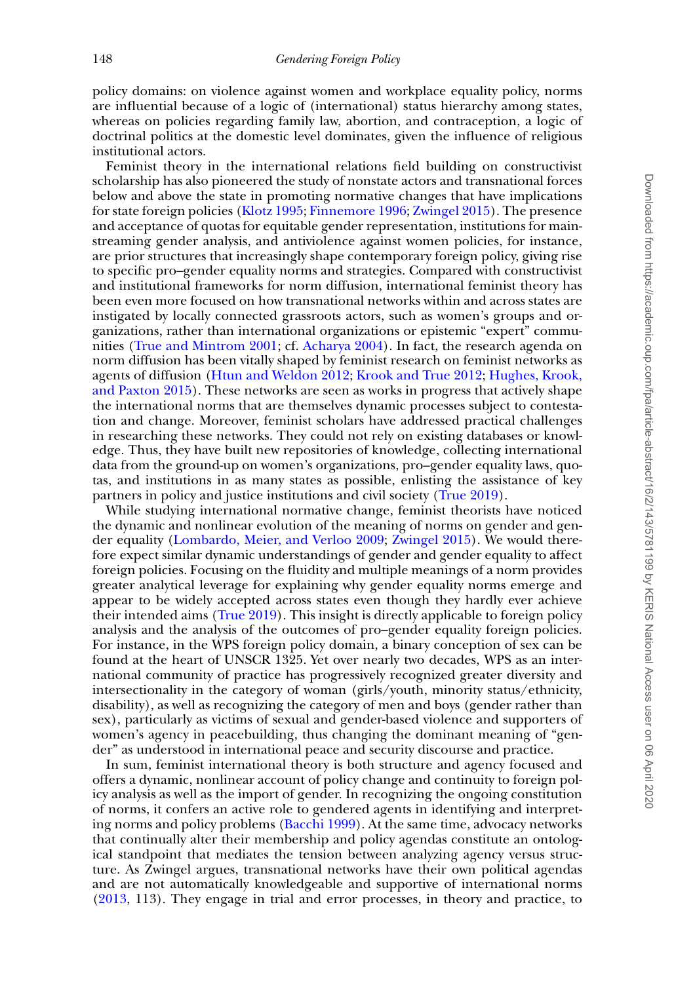policy domains: on violence against women and workplace equality policy, norms are influential because of a logic of (international) status hierarchy among states, whereas on policies regarding family law, abortion, and contraception, a logic of doctrinal politics at the domestic level dominates, given the influence of religious institutional actors.

Feminist theory in the international relations field building on constructivist scholarship has also pioneered the study of nonstate actors and transnational forces below and above the state in promoting normative changes that have implications for state foreign policies [\(Klotz 1995;](#page-18-19) [Finnemore 1996;](#page-17-12) [Zwingel 2015\)](#page-19-11). The presence and acceptance of quotas for equitable gender representation, institutions for mainstreaming gender analysis, and antiviolence against women policies, for instance, are prior structures that increasingly shape contemporary foreign policy, giving rise to specific pro–gender equality norms and strategies. Compared with constructivist and institutional frameworks for norm diffusion, international feminist theory has been even more focused on how transnational networks within and across states are instigated by locally connected grassroots actors, such as women's groups and organizations, rather than international organizations or epistemic "expert" communities [\(True and Mintrom 2001;](#page-19-0) cf. [Acharya 2004\)](#page-16-4). In fact, the research agenda on norm diffusion has been vitally shaped by feminist research on feminist networks as agents of diffusion [\(Htun and Weldon 2012;](#page-17-10) [Krook and True 2012;](#page-18-20) Hughes, Krook, [and Paxton 2015\). These networks are seen as works in progress that actively shape](#page-18-21) the international norms that are themselves dynamic processes subject to contestation and change. Moreover, feminist scholars have addressed practical challenges in researching these networks. They could not rely on existing databases or knowledge. Thus, they have built new repositories of knowledge, collecting international data from the ground-up on women's organizations, pro–gender equality laws, quotas, and institutions in as many states as possible, enlisting the assistance of key partners in policy and justice institutions and civil society [\(True 2019\)](#page-19-12).

While studying international normative change, feminist theorists have noticed the dynamic and nonlinear evolution of the meaning of norms on gender and gender equality [\(Lombardo, Meier, and Verloo 2009;](#page-18-22) [Zwingel 2015\)](#page-19-11). We would therefore expect similar dynamic understandings of gender and gender equality to affect foreign policies. Focusing on the fluidity and multiple meanings of a norm provides greater analytical leverage for explaining why gender equality norms emerge and appear to be widely accepted across states even though they hardly ever achieve their intended aims [\(True 2019\)](#page-19-12). This insight is directly applicable to foreign policy analysis and the analysis of the outcomes of pro–gender equality foreign policies. For instance, in the WPS foreign policy domain, a binary conception of sex can be found at the heart of UNSCR 1325. Yet over nearly two decades, WPS as an international community of practice has progressively recognized greater diversity and intersectionality in the category of woman (girls/youth, minority status/ethnicity, disability), as well as recognizing the category of men and boys (gender rather than sex), particularly as victims of sexual and gender-based violence and supporters of women's agency in peacebuilding, thus changing the dominant meaning of "gender" as understood in international peace and security discourse and practice.

In sum, feminist international theory is both structure and agency focused and offers a dynamic, nonlinear account of policy change and continuity to foreign policy analysis as well as the import of gender. In recognizing the ongoing constitution of norms, it confers an active role to gendered agents in identifying and interpreting norms and policy problems [\(Bacchi 1999\)](#page-17-13). At the same time, advocacy networks that continually alter their membership and policy agendas constitute an ontological standpoint that mediates the tension between analyzing agency versus structure. As Zwingel argues, transnational networks have their own political agendas and are not automatically knowledgeable and supportive of international norms [\(2013,](#page-19-13) 113). They engage in trial and error processes, in theory and practice, to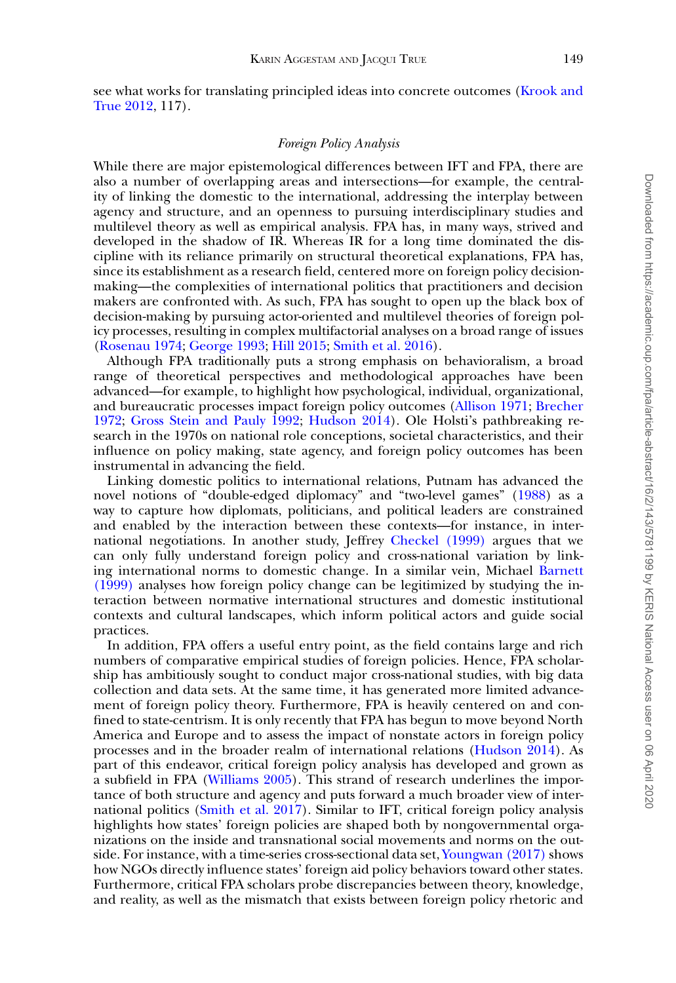[see what works for translating principled ideas into concrete outcomes \(Krook and](#page-18-20) True 2012, 117).

#### *Foreign Policy Analysis*

While there are major epistemological differences between IFT and FPA, there are also a number of overlapping areas and intersections—for example, the centrality of linking the domestic to the international, addressing the interplay between agency and structure, and an openness to pursuing interdisciplinary studies and multilevel theory as well as empirical analysis. FPA has, in many ways, strived and developed in the shadow of IR. Whereas IR for a long time dominated the discipline with its reliance primarily on structural theoretical explanations, FPA has, since its establishment as a research field, centered more on foreign policy decisionmaking—the complexities of international politics that practitioners and decision makers are confronted with. As such, FPA has sought to open up the black box of decision-making by pursuing actor-oriented and multilevel theories of foreign policy processes, resulting in complex multifactorial analyses on a broad range of issues [\(Rosenau 1974;](#page-18-23) [George 1993;](#page-17-14) [Hill 2015;](#page-17-15) [Smith et al. 2016\)](#page-18-24).

Although FPA traditionally puts a strong emphasis on behavioralism, a broad range of theoretical perspectives and methodological approaches have been advanced—for example, to highlight how psychological, individual, organizational, [and bureaucratic processes impact foreign policy outcomes \(](#page-17-17)[Allison 1971](#page-17-16)[;](#page-17-17) Brecher 1972; [Gross Stein and Pauly 1992;](#page-17-18) [Hudson 2014\)](#page-18-25). Ole Holsti's pathbreaking research in the 1970s on national role conceptions, societal characteristics, and their influence on policy making, state agency, and foreign policy outcomes has been instrumental in advancing the field.

Linking domestic politics to international relations, Putnam has advanced the novel notions of "double-edged diplomacy" and "two-level games" [\(1988\)](#page-18-26) as a way to capture how diplomats, politicians, and political leaders are constrained and enabled by the interaction between these contexts—for instance, in international negotiations. In another study, Jeffrey [Checkel \(1999\)](#page-17-19) argues that we can only fully understand foreign policy and cross-national variation by linking international norms to domestic change. In a similar vein, Michael Barnett (1999) [analyses how foreign policy change can be legitimized by studying the in](#page-17-20)teraction between normative international structures and domestic institutional contexts and cultural landscapes, which inform political actors and guide social practices.

In addition, FPA offers a useful entry point, as the field contains large and rich numbers of comparative empirical studies of foreign policies. Hence, FPA scholarship has ambitiously sought to conduct major cross-national studies, with big data collection and data sets. At the same time, it has generated more limited advancement of foreign policy theory. Furthermore, FPA is heavily centered on and confined to state-centrism. It is only recently that FPA has begun to move beyond North America and Europe and to assess the impact of nonstate actors in foreign policy processes and in the broader realm of international relations [\(Hudson 2014\)](#page-18-25). As part of this endeavor, critical foreign policy analysis has developed and grown as a subfield in FPA [\(Williams 2005\)](#page-19-14). This strand of research underlines the importance of both structure and agency and puts forward a much broader view of international politics [\(Smith et al. 2017\)](#page-18-27). Similar to IFT, critical foreign policy analysis highlights how states' foreign policies are shaped both by nongovernmental organizations on the inside and transnational social movements and norms on the outside. For instance, with a time-series cross-sectional data set, [Youngwan \(2017\)](#page-19-15) shows how NGOs directly influence states' foreign aid policy behaviors toward other states. Furthermore, critical FPA scholars probe discrepancies between theory, knowledge, and reality, as well as the mismatch that exists between foreign policy rhetoric and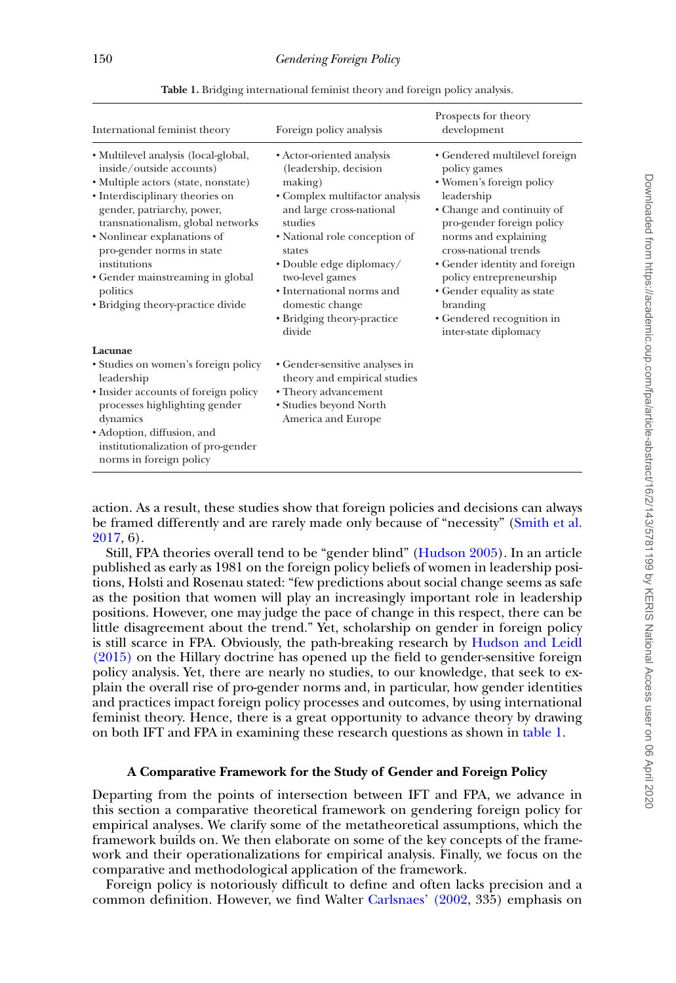<span id="page-7-0"></span>

| International feminist theory                                                                                                                                                                                                                                                                                                                                                  | Foreign policy analysis                                                                                                                                                                                                                                                                                                  | Prospects for theory<br>development                                                                                                                                                                                                                                                                                                                             |
|--------------------------------------------------------------------------------------------------------------------------------------------------------------------------------------------------------------------------------------------------------------------------------------------------------------------------------------------------------------------------------|--------------------------------------------------------------------------------------------------------------------------------------------------------------------------------------------------------------------------------------------------------------------------------------------------------------------------|-----------------------------------------------------------------------------------------------------------------------------------------------------------------------------------------------------------------------------------------------------------------------------------------------------------------------------------------------------------------|
| • Multilevel analysis (local-global,<br>inside/outside accounts)<br>• Multiple actors (state, nonstate)<br>· Interdisciplinary theories on<br>gender, patriarchy, power,<br>transnationalism, global networks<br>• Nonlinear explanations of<br>pro-gender norms in state<br>institutions<br>• Gender mainstreaming in global<br>politics<br>• Bridging theory-practice divide | • Actor-oriented analysis<br>(leadership, decision<br>making)<br>• Complex multifactor analysis<br>and large cross-national<br>studies<br>• National role conception of<br>states<br>• Double edge diplomacy/<br>two-level games<br>• International norms and<br>domestic change<br>• Bridging theory-practice<br>divide | • Gendered multilevel foreign<br>policy games<br>• Women's foreign policy<br>leadership<br>• Change and continuity of<br>pro-gender foreign policy<br>norms and explaining<br>cross-national trends<br>• Gender identity and foreign<br>policy entrepreneurship<br>• Gender equality as state<br>branding<br>· Gendered recognition in<br>inter-state diplomacy |
| Lacunae                                                                                                                                                                                                                                                                                                                                                                        |                                                                                                                                                                                                                                                                                                                          |                                                                                                                                                                                                                                                                                                                                                                 |
| • Studies on women's foreign policy<br>leadership<br>• Insider accounts of foreign policy<br>processes highlighting gender<br>dynamics<br>• Adoption, diffusion, and<br>institutionalization of pro-gender<br>norms in foreign policy                                                                                                                                          | • Gender-sensitive analyses in<br>theory and empirical studies<br>• Theory advancement<br>• Studies beyond North<br>America and Europe                                                                                                                                                                                   |                                                                                                                                                                                                                                                                                                                                                                 |

**Table 1.** Bridging international feminist theory and foreign policy analysis.

action. As a result, these studies show that foreign policies and decisions can always [be framed differently and are rarely made only because of "necessity" \(Smith et al.](#page-18-27) 2017, 6).

Still, FPA theories overall tend to be "gender blind" [\(Hudson 2005\)](#page-18-28). In an article published as early as 1981 on the foreign policy beliefs of women in leadership positions, Holsti and Rosenau stated: "few predictions about social change seems as safe as the position that women will play an increasingly important role in leadership positions. However, one may judge the pace of change in this respect, there can be little disagreement about the trend." Yet, scholarship on gender in foreign policy is still scarce in FPA. Obviously, the path-breaking research by Hudson and Leidl (2015) [on the Hillary doctrine has opened up the field to gender-sensitive foreign](#page-18-1) policy analysis. Yet, there are nearly no studies, to our knowledge, that seek to explain the overall rise of pro-gender norms and, in particular, how gender identities and practices impact foreign policy processes and outcomes, by using international feminist theory. Hence, there is a great opportunity to advance theory by drawing on both IFT and FPA in examining these research questions as shown in [table 1.](#page-7-0)

## **A Comparative Framework for the Study of Gender and Foreign Policy**

Departing from the points of intersection between IFT and FPA, we advance in this section a comparative theoretical framework on gendering foreign policy for empirical analyses. We clarify some of the metatheoretical assumptions, which the framework builds on. We then elaborate on some of the key concepts of the framework and their operationalizations for empirical analysis. Finally, we focus on the comparative and methodological application of the framework.

Foreign policy is notoriously difficult to define and often lacks precision and a common definition. However, we find Walter [Carlsnaes' \(2002,](#page-17-21) 335) emphasis on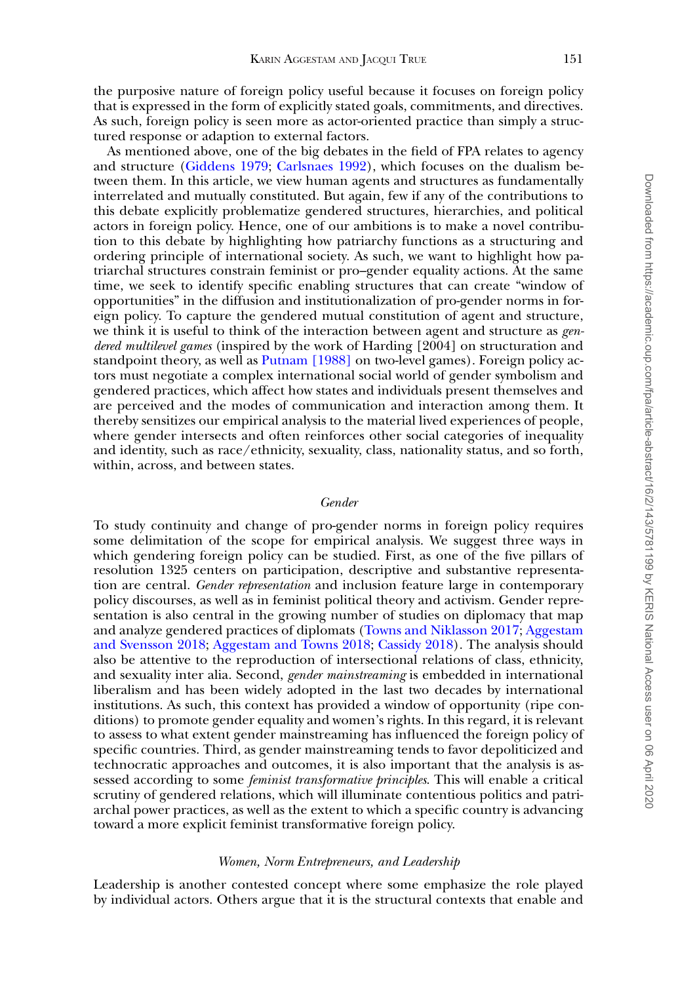the purposive nature of foreign policy useful because it focuses on foreign policy that is expressed in the form of explicitly stated goals, commitments, and directives. As such, foreign policy is seen more as actor-oriented practice than simply a structured response or adaption to external factors.

As mentioned above, one of the big debates in the field of FPA relates to agency and structure [\(Giddens 1979;](#page-17-22) [Carlsnaes 1992\)](#page-17-23), which focuses on the dualism between them. In this article, we view human agents and structures as fundamentally interrelated and mutually constituted. But again, few if any of the contributions to this debate explicitly problematize gendered structures, hierarchies, and political actors in foreign policy. Hence, one of our ambitions is to make a novel contribution to this debate by highlighting how patriarchy functions as a structuring and ordering principle of international society. As such, we want to highlight how patriarchal structures constrain feminist or pro–gender equality actions. At the same time, we seek to identify specific enabling structures that can create "window of opportunities" in the diffusion and institutionalization of pro-gender norms in foreign policy. To capture the gendered mutual constitution of agent and structure, we think it is useful to think of the interaction between agent and structure as *gendered multilevel games* (inspired by the work of Harding [2004] on structuration and standpoint theory, as well as [Putnam \[1988\]](#page-18-26) on two-level games). Foreign policy actors must negotiate a complex international social world of gender symbolism and gendered practices, which affect how states and individuals present themselves and are perceived and the modes of communication and interaction among them. It thereby sensitizes our empirical analysis to the material lived experiences of people, where gender intersects and often reinforces other social categories of inequality and identity, such as race/ethnicity, sexuality, class, nationality status, and so forth, within, across, and between states.

## *Gender*

To study continuity and change of pro-gender norms in foreign policy requires some delimitation of the scope for empirical analysis. We suggest three ways in which gendering foreign policy can be studied. First, as one of the five pillars of resolution 1325 centers on participation, descriptive and substantive representation are central. *Gender representation* and inclusion feature large in contemporary policy discourses, as well as in feminist political theory and activism. Gender representation is also central in the growing number of studies on diplomacy that map [and analyze gendered practices of diplomats \(](#page-16-5)[Towns and Niklasson 2017](#page-19-16)[;](#page-16-5) Aggestam and Svensson 2018; [Aggestam and Towns 2018;](#page-16-6) [Cassidy 2018\)](#page-17-24). The analysis should also be attentive to the reproduction of intersectional relations of class, ethnicity, and sexuality inter alia. Second, *gender mainstreaming* is embedded in international liberalism and has been widely adopted in the last two decades by international institutions. As such, this context has provided a window of opportunity (ripe conditions) to promote gender equality and women's rights. In this regard, it is relevant to assess to what extent gender mainstreaming has influenced the foreign policy of specific countries. Third, as gender mainstreaming tends to favor depoliticized and technocratic approaches and outcomes, it is also important that the analysis is assessed according to some *feminist transformative principles*. This will enable a critical scrutiny of gendered relations, which will illuminate contentious politics and patriarchal power practices, as well as the extent to which a specific country is advancing toward a more explicit feminist transformative foreign policy.

#### *Women, Norm Entrepreneurs, and Leadership*

Leadership is another contested concept where some emphasize the role played by individual actors. Others argue that it is the structural contexts that enable and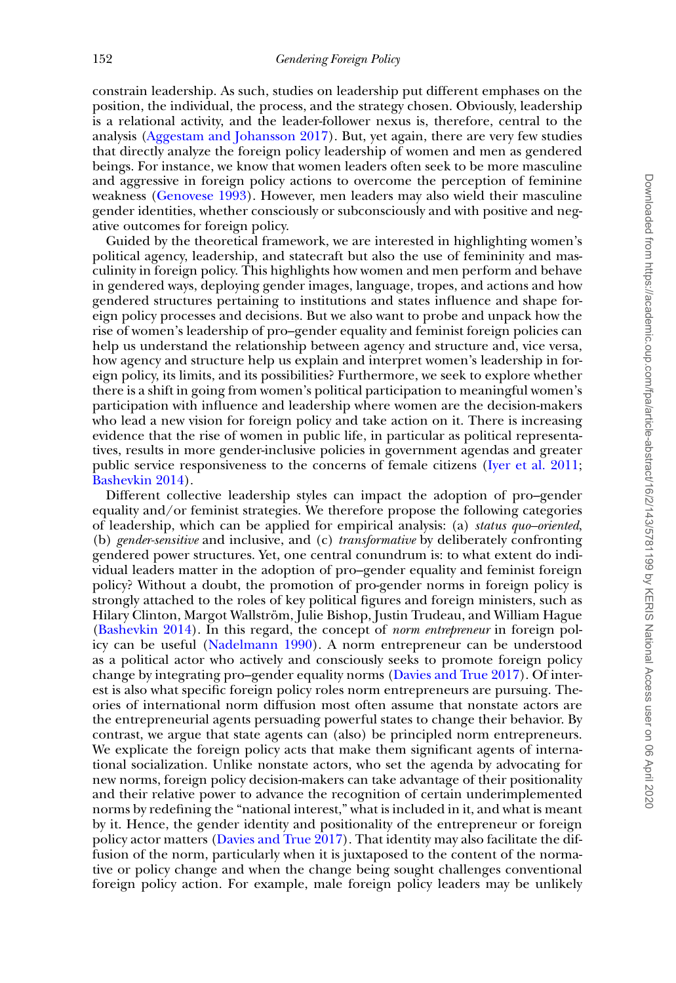constrain leadership. As such, studies on leadership put different emphases on the position, the individual, the process, and the strategy chosen. Obviously, leadership is a relational activity, and the leader-follower nexus is, therefore, central to the analysis [\(Aggestam and Johansson 2017\)](#page-17-25). But, yet again, there are very few studies that directly analyze the foreign policy leadership of women and men as gendered beings. For instance, we know that women leaders often seek to be more masculine and aggressive in foreign policy actions to overcome the perception of feminine weakness [\(Genovese 1993\)](#page-17-26). However, men leaders may also wield their masculine gender identities, whether consciously or subconsciously and with positive and negative outcomes for foreign policy.

Guided by the theoretical framework, we are interested in highlighting women's political agency, leadership, and statecraft but also the use of femininity and masculinity in foreign policy. This highlights how women and men perform and behave in gendered ways, deploying gender images, language, tropes, and actions and how gendered structures pertaining to institutions and states influence and shape foreign policy processes and decisions. But we also want to probe and unpack how the rise of women's leadership of pro–gender equality and feminist foreign policies can help us understand the relationship between agency and structure and, vice versa, how agency and structure help us explain and interpret women's leadership in foreign policy, its limits, and its possibilities? Furthermore, we seek to explore whether there is a shift in going from women's political participation to meaningful women's participation with influence and leadership where women are the decision-makers who lead a new vision for foreign policy and take action on it. There is increasing evidence that the rise of women in public life, in particular as political representatives, results in more gender-inclusive policies in government agendas and greater public service responsiveness to the concerns of female citizens [\(Iyer et al. 2011;](#page-18-29) [Bashevkin 2014\)](#page-17-27).

Different collective leadership styles can impact the adoption of pro–gender equality and/or feminist strategies. We therefore propose the following categories of leadership, which can be applied for empirical analysis: (a) *status quo–oriented*, (b) *gender-sensitive* and inclusive, and (c) *transformative* by deliberately confronting gendered power structures. Yet, one central conundrum is: to what extent do individual leaders matter in the adoption of pro–gender equality and feminist foreign policy? Without a doubt, the promotion of pro-gender norms in foreign policy is strongly attached to the roles of key political figures and foreign ministers, such as Hilary Clinton, Margot Wallström, Julie Bishop, Justin Trudeau, and William Hague [\(Bashevkin 2014\)](#page-17-27). In this regard, the concept of *norm entrepreneur* in foreign policy can be useful [\(Nadelmann 1990\)](#page-18-30). A norm entrepreneur can be understood as a political actor who actively and consciously seeks to promote foreign policy change by integrating pro–gender equality norms [\(Davies and True 2017\)](#page-17-28). Of interest is also what specific foreign policy roles norm entrepreneurs are pursuing. Theories of international norm diffusion most often assume that nonstate actors are the entrepreneurial agents persuading powerful states to change their behavior. By contrast, we argue that state agents can (also) be principled norm entrepreneurs. We explicate the foreign policy acts that make them significant agents of international socialization. Unlike nonstate actors, who set the agenda by advocating for new norms, foreign policy decision-makers can take advantage of their positionality and their relative power to advance the recognition of certain underimplemented norms by redefining the "national interest," what is included in it, and what is meant by it. Hence, the gender identity and positionality of the entrepreneur or foreign policy actor matters [\(Davies and True 2017\)](#page-17-28). That identity may also facilitate the diffusion of the norm, particularly when it is juxtaposed to the content of the normative or policy change and when the change being sought challenges conventional foreign policy action. For example, male foreign policy leaders may be unlikely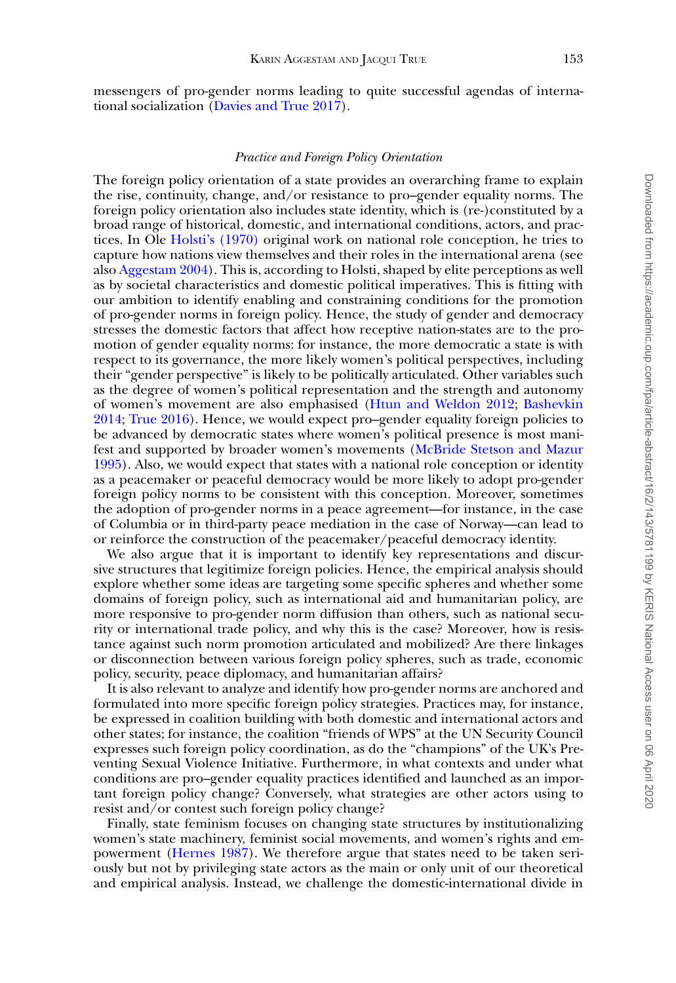messengers of pro-gender norms leading to quite successful agendas of international socialization [\(Davies and True 2017\)](#page-17-28).

#### *Practice and Foreign Policy Orientation*

The foreign policy orientation of a state provides an overarching frame to explain the rise, continuity, change, and/or resistance to pro–gender equality norms. The foreign policy orientation also includes state identity, which is (re-)constituted by a broad range of historical, domestic, and international conditions, actors, and practices. In Ole [Holsti's \(1970\)](#page-17-29) original work on national role conception, he tries to capture how nations view themselves and their roles in the international arena (see also [Aggestam 2004\)](#page-16-7). This is, according to Holsti, shaped by elite perceptions as well as by societal characteristics and domestic political imperatives. This is fitting with our ambition to identify enabling and constraining conditions for the promotion of pro-gender norms in foreign policy. Hence, the study of gender and democracy stresses the domestic factors that affect how receptive nation-states are to the promotion of gender equality norms: for instance, the more democratic a state is with respect to its governance, the more likely women's political perspectives, including their "gender perspective" is likely to be politically articulated. Other variables such as the degree of women's political representation and the strength and autonomy of women's movement are also emphasised [\(Htun and Weldon 2012;](#page-17-10) Bashevkin 2014; [True 2016\). Hence, we would expect pro–gender equality foreign policies to](#page-17-27) be advanced by democratic states where women's political presence is most mani[fest and supported by broader women's movements \(McBride Stetson and Mazur](#page-18-9) 1995). Also, we would expect that states with a national role conception or identity as a peacemaker or peaceful democracy would be more likely to adopt pro-gender foreign policy norms to be consistent with this conception. Moreover, sometimes the adoption of pro-gender norms in a peace agreement—for instance, in the case of Columbia or in third-party peace mediation in the case of Norway—can lead to or reinforce the construction of the peacemaker/peaceful democracy identity.

We also argue that it is important to identify key representations and discursive structures that legitimize foreign policies. Hence, the empirical analysis should explore whether some ideas are targeting some specific spheres and whether some domains of foreign policy, such as international aid and humanitarian policy, are more responsive to pro-gender norm diffusion than others, such as national security or international trade policy, and why this is the case? Moreover, how is resistance against such norm promotion articulated and mobilized? Are there linkages or disconnection between various foreign policy spheres, such as trade, economic policy, security, peace diplomacy, and humanitarian affairs?

It is also relevant to analyze and identify how pro-gender norms are anchored and formulated into more specific foreign policy strategies. Practices may, for instance, be expressed in coalition building with both domestic and international actors and other states; for instance, the coalition "friends of WPS" at the UN Security Council expresses such foreign policy coordination, as do the "champions" of the UK's Preventing Sexual Violence Initiative. Furthermore, in what contexts and under what conditions are pro–gender equality practices identified and launched as an important foreign policy change? Conversely, what strategies are other actors using to resist and/or contest such foreign policy change?

Finally, state feminism focuses on changing state structures by institutionalizing women's state machinery, feminist social movements, and women's rights and empowerment [\(Hernes 1987\)](#page-17-30). We therefore argue that states need to be taken seriously but not by privileging state actors as the main or only unit of our theoretical and empirical analysis. Instead, we challenge the domestic-international divide in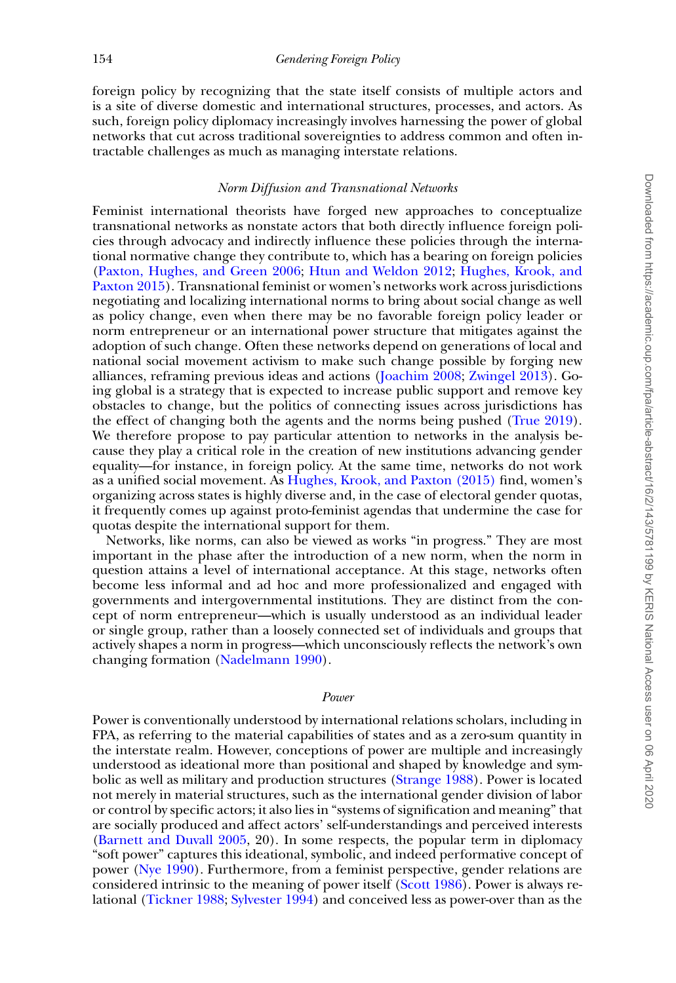foreign policy by recognizing that the state itself consists of multiple actors and is a site of diverse domestic and international structures, processes, and actors. As such, foreign policy diplomacy increasingly involves harnessing the power of global networks that cut across traditional sovereignties to address common and often intractable challenges as much as managing interstate relations.

### *Norm Diffusion and Transnational Networks*

Feminist international theorists have forged new approaches to conceptualize transnational networks as nonstate actors that both directly influence foreign policies through advocacy and indirectly influence these policies through the international normative change they contribute to, which has a bearing on foreign policies [\(Paxton, Hughes, and Green 2006;](#page-18-31) [Htun and Weldon 2012;](#page-17-10) Hughes, Krook, and [Paxton 2015\). Transnational feminist or women's networks work across jurisdictions](#page-18-21) negotiating and localizing international norms to bring about social change as well as policy change, even when there may be no favorable foreign policy leader or norm entrepreneur or an international power structure that mitigates against the adoption of such change. Often these networks depend on generations of local and national social movement activism to make such change possible by forging new alliances, reframing previous ideas and actions [\(Joachim 2008;](#page-18-32) [Zwingel 2013\)](#page-19-13). Going global is a strategy that is expected to increase public support and remove key obstacles to change, but the politics of connecting issues across jurisdictions has the effect of changing both the agents and the norms being pushed [\(True 2019\)](#page-19-12). We therefore propose to pay particular attention to networks in the analysis because they play a critical role in the creation of new institutions advancing gender equality—for instance, in foreign policy. At the same time, networks do not work as a unified social movement. As [Hughes, Krook, and Paxton \(2015\)](#page-18-21) find, women's organizing across states is highly diverse and, in the case of electoral gender quotas, it frequently comes up against proto-feminist agendas that undermine the case for quotas despite the international support for them.

Networks, like norms, can also be viewed as works "in progress." They are most important in the phase after the introduction of a new norm, when the norm in question attains a level of international acceptance. At this stage, networks often become less informal and ad hoc and more professionalized and engaged with governments and intergovernmental institutions. They are distinct from the concept of norm entrepreneur—which is usually understood as an individual leader or single group, rather than a loosely connected set of individuals and groups that actively shapes a norm in progress—which unconsciously reflects the network's own changing formation [\(Nadelmann 1990\)](#page-18-30).

#### *Power*

Power is conventionally understood by international relations scholars, including in FPA, as referring to the material capabilities of states and as a zero-sum quantity in the interstate realm. However, conceptions of power are multiple and increasingly understood as ideational more than positional and shaped by knowledge and symbolic as well as military and production structures [\(Strange 1988\)](#page-19-18). Power is located not merely in material structures, such as the international gender division of labor or control by specific actors; it also lies in "systems of signification and meaning" that are socially produced and affect actors' self-understandings and perceived interests [\(Barnett and Duvall 2005,](#page-17-31) 20). In some respects, the popular term in diplomacy "soft power" captures this ideational, symbolic, and indeed performative concept of power [\(Nye 1990\)](#page-18-33). Furthermore, from a feminist perspective, gender relations are considered intrinsic to the meaning of power itself [\(Scott 1986\)](#page-18-34). Power is always relational [\(Tickner 1988;](#page-19-19) [Sylvester 1994\)](#page-19-20) and conceived less as power-over than as the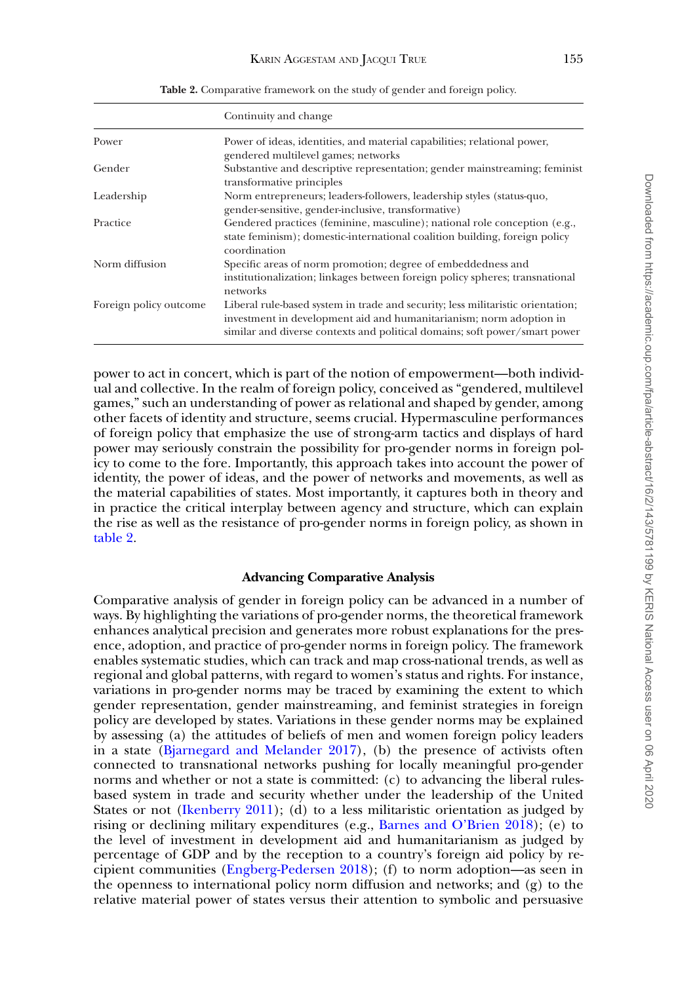<span id="page-12-0"></span>

|                        | Continuity and change                                                                                                                                                                                                                |  |
|------------------------|--------------------------------------------------------------------------------------------------------------------------------------------------------------------------------------------------------------------------------------|--|
| Power                  | Power of ideas, identities, and material capabilities; relational power,<br>gendered multilevel games; networks                                                                                                                      |  |
| Gender                 | Substantive and descriptive representation; gender mainstreaming; feminist<br>transformative principles                                                                                                                              |  |
| Leadership             | Norm entrepreneurs; leaders-followers, leadership styles (status-quo,<br>gender-sensitive, gender-inclusive, transformative)                                                                                                         |  |
| Practice               | Gendered practices (feminine, masculine); national role conception (e.g.,<br>state feminism); domestic-international coalition building, foreign policy<br>coordination                                                              |  |
| Norm diffusion         | Specific areas of norm promotion; degree of embeddedness and<br>institutionalization; linkages between foreign policy spheres; transnational<br>networks                                                                             |  |
| Foreign policy outcome | Liberal rule-based system in trade and security; less militaristic orientation;<br>investment in development aid and humanitarianism; norm adoption in<br>similar and diverse contexts and political domains; soft power/smart power |  |

**Table 2.** Comparative framework on the study of gender and foreign policy.

power to act in concert, which is part of the notion of empowerment—both individual and collective. In the realm of foreign policy, conceived as "gendered, multilevel games," such an understanding of power as relational and shaped by gender, among other facets of identity and structure, seems crucial. Hypermasculine performances of foreign policy that emphasize the use of strong-arm tactics and displays of hard power may seriously constrain the possibility for pro-gender norms in foreign policy to come to the fore. Importantly, this approach takes into account the power of identity, the power of ideas, and the power of networks and movements, as well as the material capabilities of states. Most importantly, it captures both in theory and in practice the critical interplay between agency and structure, which can explain the rise as well as the resistance of pro-gender norms in foreign policy, as shown in [table 2.](#page-12-0)

## **Advancing Comparative Analysis**

Comparative analysis of gender in foreign policy can be advanced in a number of ways. By highlighting the variations of pro-gender norms, the theoretical framework enhances analytical precision and generates more robust explanations for the presence, adoption, and practice of pro-gender norms in foreign policy. The framework enables systematic studies, which can track and map cross-national trends, as well as regional and global patterns, with regard to women's status and rights. For instance, variations in pro-gender norms may be traced by examining the extent to which gender representation, gender mainstreaming, and feminist strategies in foreign policy are developed by states. Variations in these gender norms may be explained by assessing (a) the attitudes of beliefs of men and women foreign policy leaders in a state [\(Bjarnegard and Melander 2017\)](#page-17-5), (b) the presence of activists often connected to transnational networks pushing for locally meaningful pro-gender norms and whether or not a state is committed: (c) to advancing the liberal rulesbased system in trade and security whether under the leadership of the United States or not [\(Ikenberry 2011\)](#page-18-35); (d) to a less militaristic orientation as judged by rising or declining military expenditures (e.g., [Barnes and O'Brien 2018\)](#page-17-32); (e) to the level of investment in development aid and humanitarianism as judged by percentage of GDP and by the reception to a country's foreign aid policy by recipient communities [\(Engberg-Pedersen 2018\)](#page-17-33); (f) to norm adoption—as seen in the openness to international policy norm diffusion and networks; and (g) to the relative material power of states versus their attention to symbolic and persuasive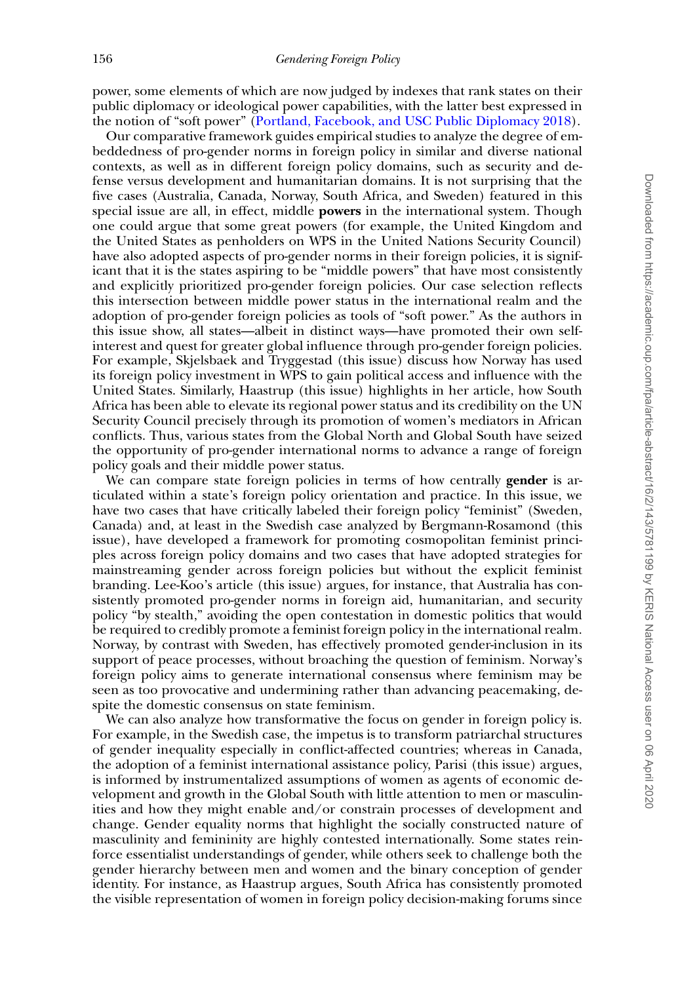power, some elements of which are now judged by indexes that rank states on their public diplomacy or ideological power capabilities, with the latter best expressed in the notion of "soft power" [\(Portland, Facebook, and USC Public Diplomacy 2018\)](#page-18-36).

Our comparative framework guides empirical studies to analyze the degree of embeddedness of pro-gender norms in foreign policy in similar and diverse national contexts, as well as in different foreign policy domains, such as security and defense versus development and humanitarian domains. It is not surprising that the five cases (Australia, Canada, Norway, South Africa, and Sweden) featured in this special issue are all, in effect, middle **powers** in the international system. Though one could argue that some great powers (for example, the United Kingdom and the United States as penholders on WPS in the United Nations Security Council) have also adopted aspects of pro-gender norms in their foreign policies, it is significant that it is the states aspiring to be "middle powers" that have most consistently and explicitly prioritized pro-gender foreign policies. Our case selection reflects this intersection between middle power status in the international realm and the adoption of pro-gender foreign policies as tools of "soft power." As the authors in this issue show, all states—albeit in distinct ways—have promoted their own selfinterest and quest for greater global influence through pro-gender foreign policies. For example, Skjelsbaek and Tryggestad (this issue) discuss how Norway has used its foreign policy investment in WPS to gain political access and influence with the United States. Similarly, Haastrup (this issue) highlights in her article, how South Africa has been able to elevate its regional power status and its credibility on the UN Security Council precisely through its promotion of women's mediators in African conflicts. Thus, various states from the Global North and Global South have seized the opportunity of pro-gender international norms to advance a range of foreign policy goals and their middle power status.

We can compare state foreign policies in terms of how centrally **gender** is articulated within a state's foreign policy orientation and practice. In this issue, we have two cases that have critically labeled their foreign policy "feminist" (Sweden, Canada) and, at least in the Swedish case analyzed by Bergmann-Rosamond (this issue), have developed a framework for promoting cosmopolitan feminist principles across foreign policy domains and two cases that have adopted strategies for mainstreaming gender across foreign policies but without the explicit feminist branding. Lee-Koo's article (this issue) argues, for instance, that Australia has consistently promoted pro-gender norms in foreign aid, humanitarian, and security policy "by stealth," avoiding the open contestation in domestic politics that would be required to credibly promote a feminist foreign policy in the international realm. Norway, by contrast with Sweden, has effectively promoted gender-inclusion in its support of peace processes, without broaching the question of feminism. Norway's foreign policy aims to generate international consensus where feminism may be seen as too provocative and undermining rather than advancing peacemaking, despite the domestic consensus on state feminism.

We can also analyze how transformative the focus on gender in foreign policy is. For example, in the Swedish case, the impetus is to transform patriarchal structures of gender inequality especially in conflict-affected countries; whereas in Canada, the adoption of a feminist international assistance policy, Parisi (this issue) argues, is informed by instrumentalized assumptions of women as agents of economic development and growth in the Global South with little attention to men or masculinities and how they might enable and/or constrain processes of development and change. Gender equality norms that highlight the socially constructed nature of masculinity and femininity are highly contested internationally. Some states reinforce essentialist understandings of gender, while others seek to challenge both the gender hierarchy between men and women and the binary conception of gender identity. For instance, as Haastrup argues, South Africa has consistently promoted the visible representation of women in foreign policy decision-making forums since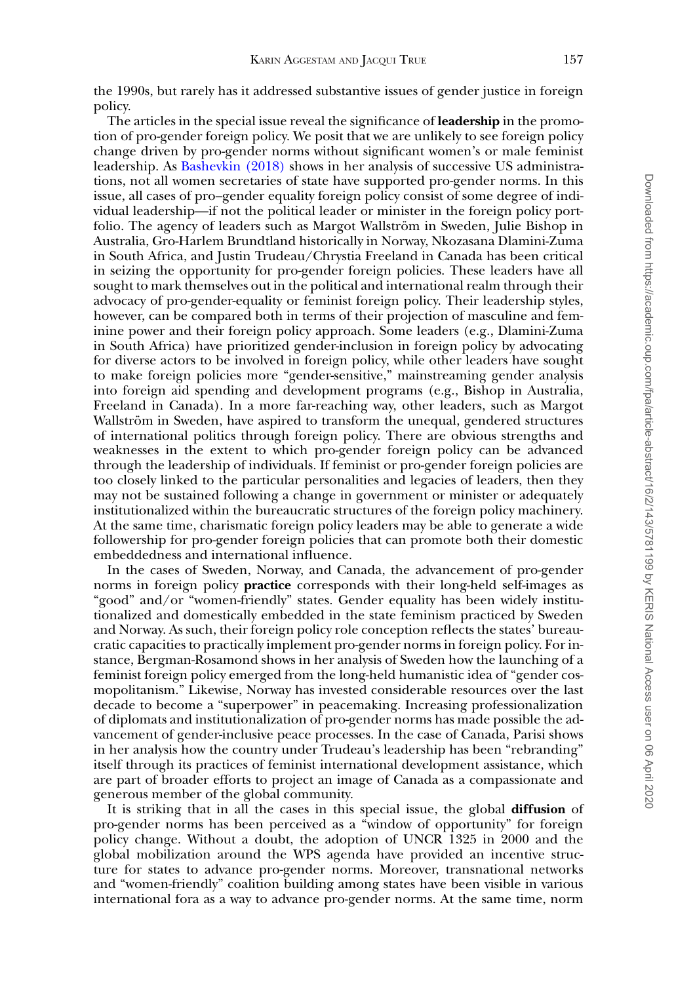the 1990s, but rarely has it addressed substantive issues of gender justice in foreign policy.

The articles in the special issue reveal the significance of **leadership** in the promotion of pro-gender foreign policy. We posit that we are unlikely to see foreign policy change driven by pro-gender norms without significant women's or male feminist leadership. As [Bashevkin \(2018\)](#page-17-34) shows in her analysis of successive US administrations, not all women secretaries of state have supported pro-gender norms. In this issue, all cases of pro–gender equality foreign policy consist of some degree of individual leadership—if not the political leader or minister in the foreign policy portfolio. The agency of leaders such as Margot Wallström in Sweden, Julie Bishop in Australia, Gro-Harlem Brundtland historically in Norway, Nkozasana Dlamini-Zuma in South Africa, and Justin Trudeau/Chrystia Freeland in Canada has been critical in seizing the opportunity for pro-gender foreign policies. These leaders have all sought to mark themselves out in the political and international realm through their advocacy of pro-gender-equality or feminist foreign policy. Their leadership styles, however, can be compared both in terms of their projection of masculine and feminine power and their foreign policy approach. Some leaders (e.g., Dlamini-Zuma in South Africa) have prioritized gender-inclusion in foreign policy by advocating for diverse actors to be involved in foreign policy, while other leaders have sought to make foreign policies more "gender-sensitive," mainstreaming gender analysis into foreign aid spending and development programs (e.g., Bishop in Australia, Freeland in Canada). In a more far-reaching way, other leaders, such as Margot Wallström in Sweden, have aspired to transform the unequal, gendered structures of international politics through foreign policy. There are obvious strengths and weaknesses in the extent to which pro-gender foreign policy can be advanced through the leadership of individuals. If feminist or pro-gender foreign policies are too closely linked to the particular personalities and legacies of leaders, then they may not be sustained following a change in government or minister or adequately institutionalized within the bureaucratic structures of the foreign policy machinery. At the same time, charismatic foreign policy leaders may be able to generate a wide followership for pro-gender foreign policies that can promote both their domestic embeddedness and international influence.

In the cases of Sweden, Norway, and Canada, the advancement of pro-gender norms in foreign policy **practice** corresponds with their long-held self-images as "good" and/or "women-friendly" states. Gender equality has been widely institutionalized and domestically embedded in the state feminism practiced by Sweden and Norway. As such, their foreign policy role conception reflects the states' bureaucratic capacities to practically implement pro-gender norms in foreign policy. For instance, Bergman-Rosamond shows in her analysis of Sweden how the launching of a feminist foreign policy emerged from the long-held humanistic idea of "gender cosmopolitanism." Likewise, Norway has invested considerable resources over the last decade to become a "superpower" in peacemaking. Increasing professionalization of diplomats and institutionalization of pro-gender norms has made possible the advancement of gender-inclusive peace processes. In the case of Canada, Parisi shows in her analysis how the country under Trudeau's leadership has been "rebranding" itself through its practices of feminist international development assistance, which are part of broader efforts to project an image of Canada as a compassionate and generous member of the global community.

It is striking that in all the cases in this special issue, the global **diffusion** of pro-gender norms has been perceived as a "window of opportunity" for foreign policy change. Without a doubt, the adoption of UNCR 1325 in 2000 and the global mobilization around the WPS agenda have provided an incentive structure for states to advance pro-gender norms. Moreover, transnational networks and "women-friendly" coalition building among states have been visible in various international fora as a way to advance pro-gender norms. At the same time, norm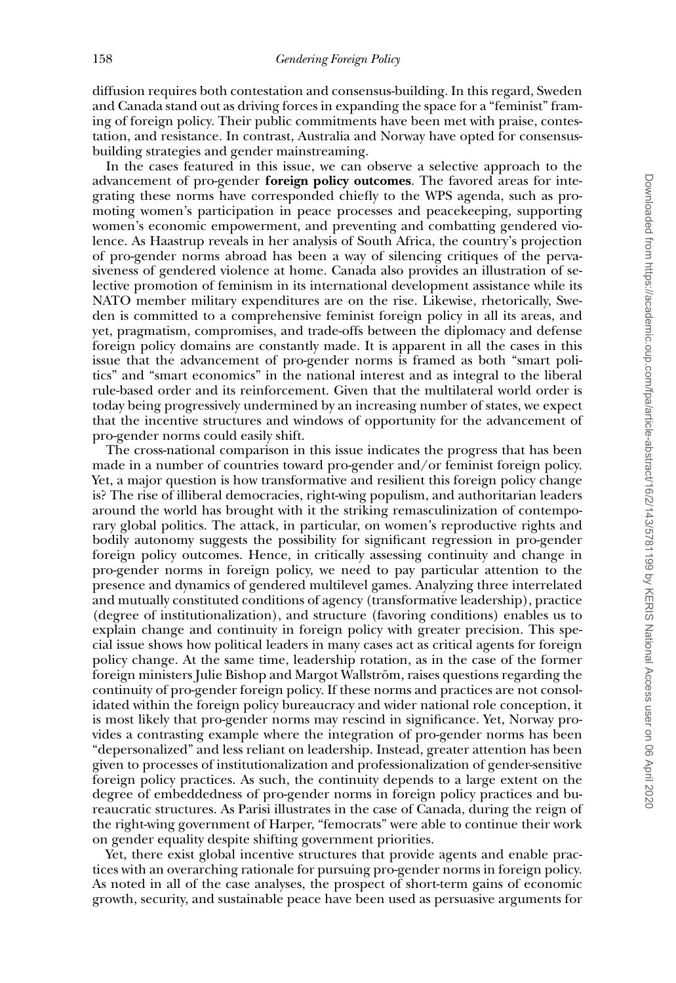diffusion requires both contestation and consensus-building. In this regard, Sweden and Canada stand out as driving forces in expanding the space for a "feminist" framing of foreign policy. Their public commitments have been met with praise, contestation, and resistance. In contrast, Australia and Norway have opted for consensusbuilding strategies and gender mainstreaming.

In the cases featured in this issue, we can observe a selective approach to the advancement of pro-gender **foreign policy outcomes**. The favored areas for integrating these norms have corresponded chiefly to the WPS agenda, such as promoting women's participation in peace processes and peacekeeping, supporting women's economic empowerment, and preventing and combatting gendered violence. As Haastrup reveals in her analysis of South Africa, the country's projection of pro-gender norms abroad has been a way of silencing critiques of the pervasiveness of gendered violence at home. Canada also provides an illustration of selective promotion of feminism in its international development assistance while its NATO member military expenditures are on the rise. Likewise, rhetorically, Sweden is committed to a comprehensive feminist foreign policy in all its areas, and yet, pragmatism, compromises, and trade-offs between the diplomacy and defense foreign policy domains are constantly made. It is apparent in all the cases in this issue that the advancement of pro-gender norms is framed as both "smart politics" and "smart economics" in the national interest and as integral to the liberal rule-based order and its reinforcement. Given that the multilateral world order is today being progressively undermined by an increasing number of states, we expect that the incentive structures and windows of opportunity for the advancement of pro-gender norms could easily shift.

The cross-national comparison in this issue indicates the progress that has been made in a number of countries toward pro-gender and/or feminist foreign policy. Yet, a major question is how transformative and resilient this foreign policy change is? The rise of illiberal democracies, right-wing populism, and authoritarian leaders around the world has brought with it the striking remasculinization of contemporary global politics. The attack, in particular, on women's reproductive rights and bodily autonomy suggests the possibility for significant regression in pro-gender foreign policy outcomes. Hence, in critically assessing continuity and change in pro-gender norms in foreign policy, we need to pay particular attention to the presence and dynamics of gendered multilevel games. Analyzing three interrelated and mutually constituted conditions of agency (transformative leadership), practice (degree of institutionalization), and structure (favoring conditions) enables us to explain change and continuity in foreign policy with greater precision. This special issue shows how political leaders in many cases act as critical agents for foreign policy change. At the same time, leadership rotation, as in the case of the former foreign ministers Julie Bishop and Margot Wallström, raises questions regarding the continuity of pro-gender foreign policy. If these norms and practices are not consolidated within the foreign policy bureaucracy and wider national role conception, it is most likely that pro-gender norms may rescind in significance. Yet, Norway provides a contrasting example where the integration of pro-gender norms has been "depersonalized" and less reliant on leadership. Instead, greater attention has been given to processes of institutionalization and professionalization of gender-sensitive foreign policy practices. As such, the continuity depends to a large extent on the degree of embeddedness of pro-gender norms in foreign policy practices and bureaucratic structures. As Parisi illustrates in the case of Canada, during the reign of the right-wing government of Harper, "femocrats" were able to continue their work on gender equality despite shifting government priorities.

Yet, there exist global incentive structures that provide agents and enable practices with an overarching rationale for pursuing pro-gender norms in foreign policy. As noted in all of the case analyses, the prospect of short-term gains of economic growth, security, and sustainable peace have been used as persuasive arguments for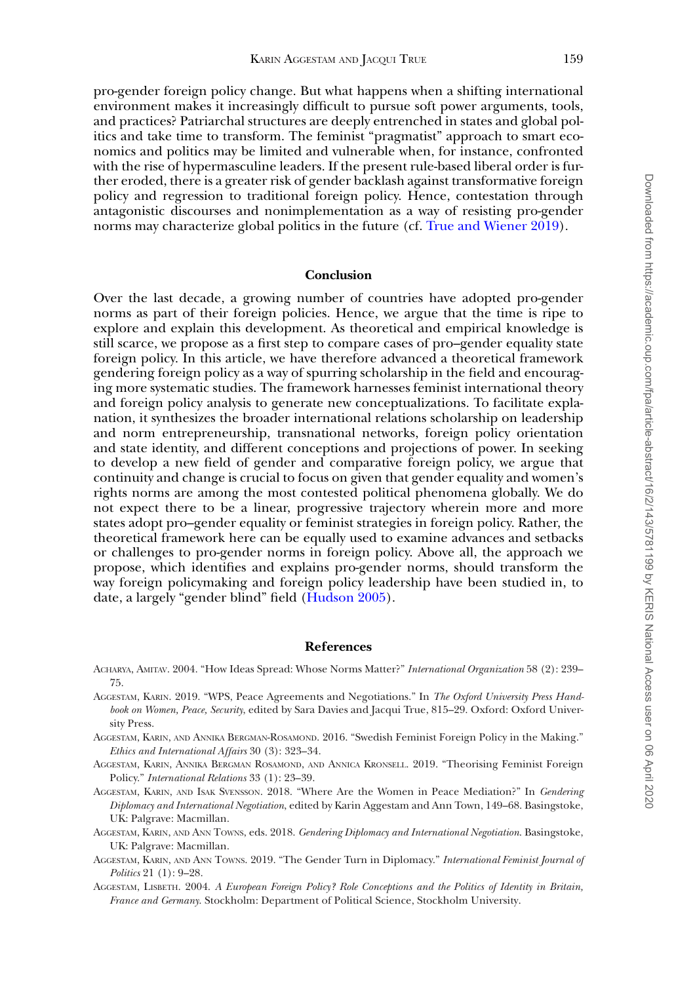pro-gender foreign policy change. But what happens when a shifting international environment makes it increasingly difficult to pursue soft power arguments, tools, and practices? Patriarchal structures are deeply entrenched in states and global politics and take time to transform. The feminist "pragmatist" approach to smart economics and politics may be limited and vulnerable when, for instance, confronted with the rise of hypermasculine leaders. If the present rule-based liberal order is further eroded, there is a greater risk of gender backlash against transformative foreign policy and regression to traditional foreign policy. Hence, contestation through antagonistic discourses and nonimplementation as a way of resisting pro-gender norms may characterize global politics in the future (cf. [True and Wiener 2019\)](#page-19-21).

#### **Conclusion**

Over the last decade, a growing number of countries have adopted pro-gender norms as part of their foreign policies. Hence, we argue that the time is ripe to explore and explain this development. As theoretical and empirical knowledge is still scarce, we propose as a first step to compare cases of pro–gender equality state foreign policy. In this article, we have therefore advanced a theoretical framework gendering foreign policy as a way of spurring scholarship in the field and encouraging more systematic studies. The framework harnesses feminist international theory and foreign policy analysis to generate new conceptualizations. To facilitate explanation, it synthesizes the broader international relations scholarship on leadership and norm entrepreneurship, transnational networks, foreign policy orientation and state identity, and different conceptions and projections of power. In seeking to develop a new field of gender and comparative foreign policy, we argue that continuity and change is crucial to focus on given that gender equality and women's rights norms are among the most contested political phenomena globally. We do not expect there to be a linear, progressive trajectory wherein more and more states adopt pro–gender equality or feminist strategies in foreign policy. Rather, the theoretical framework here can be equally used to examine advances and setbacks or challenges to pro-gender norms in foreign policy. Above all, the approach we propose, which identifies and explains pro-gender norms, should transform the way foreign policymaking and foreign policy leadership have been studied in, to date, a largely "gender blind" field [\(Hudson 2005\)](#page-18-28).

#### **References**

- <span id="page-16-4"></span>ACHARYA, AMITAV. 2004. "How Ideas Spread: Whose Norms Matter?" *International Organization* 58 (2): 239– 75.
- <span id="page-16-0"></span>AGGESTAM, KARIN. 2019. "WPS, Peace Agreements and Negotiations." In *The Oxford University Press Handbook on Women, Peace, Security*, edited by Sara Davies and Jacqui True, 815–29. Oxford: Oxford University Press.
- <span id="page-16-1"></span>AGGESTAM, KARIN, AND ANNIKA BERGMAN-ROSAMOND. 2016. "Swedish Feminist Foreign Policy in the Making." *Ethics and International Affairs* 30 (3): 323–34.
- <span id="page-16-3"></span>AGGESTAM, KARIN, ANNIKA BERGMAN ROSAMOND, AND ANNICA KRONSELL. 2019. "Theorising Feminist Foreign Policy." *International Relations* 33 (1): 23–39.
- <span id="page-16-5"></span>AGGESTAM, KARIN, AND ISAK SVENSSON. 2018. "Where Are the Women in Peace Mediation?" In *Gendering Diplomacy and International Negotiation*, edited by Karin Aggestam and Ann Town, 149–68. Basingstoke, UK: Palgrave: Macmillan.
- <span id="page-16-6"></span>AGGESTAM, KARIN, AND ANN TOWNS, eds. 2018. *Gendering Diplomacy and International Negotiation*. Basingstoke, UK: Palgrave: Macmillan.
- <span id="page-16-2"></span>AGGESTAM, KARIN, AND ANN TOWNS. 2019. "The Gender Turn in Diplomacy." *International Feminist Journal of Politics* 21 (1): 9–28.
- <span id="page-16-7"></span>AGGESTAM, LISBETH. 2004. *A European Foreign Policy? Role Conceptions and the Politics of Identity in Britain, France and Germany*. Stockholm: Department of Political Science, Stockholm University.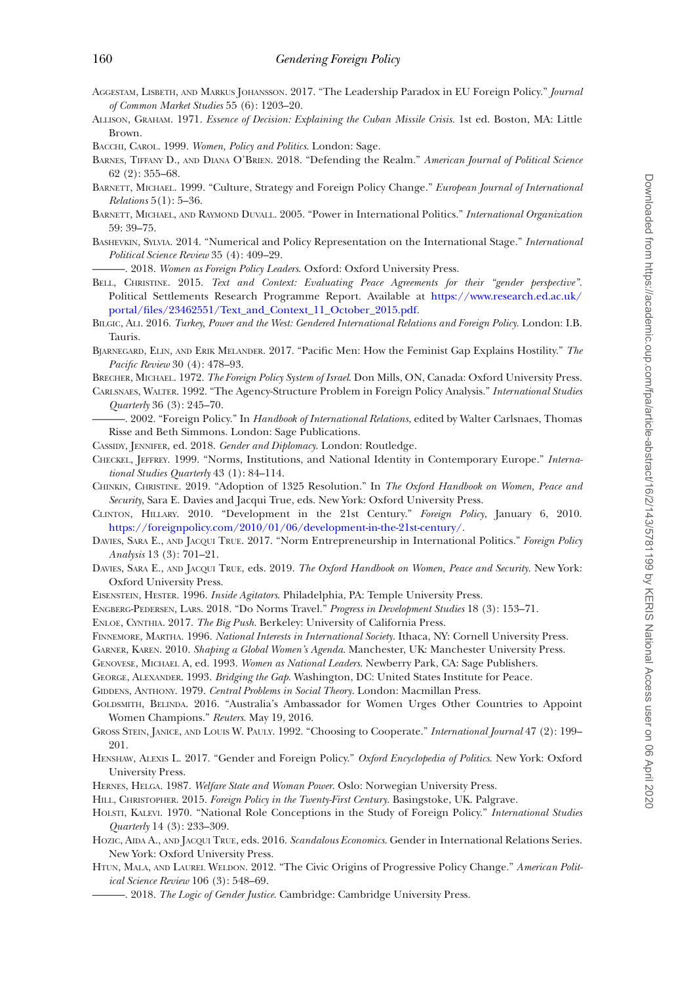- <span id="page-17-25"></span>AGGESTAM, LISBETH, AND MARKUS JOHANSSON. 2017. "The Leadership Paradox in EU Foreign Policy." *Journal of Common Market Studies* 55 (6): 1203–20.
- <span id="page-17-16"></span>ALLISON, GRAHAM. 1971. *Essence of Decision: Explaining the Cuban Missile Crisis*. 1st ed. Boston, MA: Little Brown.
- <span id="page-17-13"></span>BACCHI, CAROL. 1999. *Women, Policy and Politics*. London: Sage.
- <span id="page-17-32"></span>BARNES, TIFFANY D., AND DIANA O'BRIEN. 2018. "Defending the Realm." *American Journal of Political Science* 62 (2): 355–68.
- <span id="page-17-20"></span>BARNETT, MICHAEL. 1999. "Culture, Strategy and Foreign Policy Change." *European Journal of International Relations* 5(1): 5–36.
- <span id="page-17-31"></span>BARNETT, MICHAEL, AND RAYMOND DUVALL. 2005. "Power in International Politics." *International Organization* 59: 39–75.
- <span id="page-17-27"></span>BASHEVKIN, SYLVIA. 2014. "Numerical and Policy Representation on the International Stage." *International Political Science Review* 35 (4): 409–29.

<span id="page-17-34"></span>———. 2018. *Women as Foreign Policy Leaders*. Oxford: Oxford University Press.

- BELL, CHRISTINE. 2015. *Text and Context: Evaluating Peace Agreements for their "gender perspective".* [Political Settlements Research Programme Report. Available at](https://www.research.ed.ac.uk/portal/files/23462551/Text_and_Context_11_October_2015.pdf) https://www.research.ed.ac.uk/ portal/files/23462551/Text\_and\_Context\_11\_October\_2015.pdf.
- <span id="page-17-7"></span>BILGIC, ALI. 2016. *Turkey, Power and the West: Gendered International Relations and Foreign Policy*. London: I.B. Tauris.
- <span id="page-17-5"></span>BJARNEGARD, ELIN, AND ERIK MELANDER. 2017. "Pacific Men: How the Feminist Gap Explains Hostility." *The Pacific Review* 30 (4): 478–93.

<span id="page-17-17"></span>BRECHER, MICHAEL. 1972. *The Foreign Policy System of Israel*. Don Mills, ON, Canada: Oxford University Press.

- <span id="page-17-23"></span><span id="page-17-21"></span>CARLSNAES, WALTER. 1992. "The Agency-Structure Problem in Foreign Policy Analysis." *International Studies Quarterly* 36 (3): 245–70.
	- ———. 2002. "Foreign Policy." In *Handbook of International Relations*, edited by Walter Carlsnaes, Thomas Risse and Beth Simmons. London: Sage Publications.
- <span id="page-17-24"></span>CASSIDY, JENNIFER, ed. 2018. *Gender and Diplomacy*. London: Routledge.
- <span id="page-17-19"></span>CHECKEL, JEFFREY. 1999. "Norms, Institutions, and National Identity in Contemporary Europe." *International Studies Quarterly* 43 (1): 84–114.
- <span id="page-17-4"></span>CHINKIN, CHRISTINE. 2019. "Adoption of 1325 Resolution." In *The Oxford Handbook on Women, Peace and Security*, Sara E. Davies and Jacqui True, eds. New York: Oxford University Press.
- <span id="page-17-2"></span>CLINTON, HILLARY. 2010. "Development in the 21st Century." *Foreign Policy*, January 6, 2010. [https://foreignpolicy.com/2010/01/06/development-in-the-21st-century/.](https://foreignpolicy.com/2010/01/06/development-in-the-21st-century/)
- <span id="page-17-28"></span>DAVIES, SARA E., AND JACQUI TRUE. 2017. "Norm Entrepreneurship in International Politics." *Foreign Policy Analysis* 13 (3): 701–21.
- <span id="page-17-1"></span>DAVIES, SARA E., AND JACQUI TRUE, eds. 2019. *The Oxford Handbook on Women, Peace and Security*. New York: Oxford University Press.
- <span id="page-17-9"></span>EISENSTEIN, HESTER. 1996. *Inside Agitators*. Philadelphia, PA: Temple University Press.
- <span id="page-17-33"></span>ENGBERG-PEDERSEN, LARS. 2018. "Do Norms Travel." *Progress in Development Studies* 18 (3): 153–71.

<span id="page-17-6"></span>ENLOE, CYNTHIA. 2017. *The Big Push*. Berkeley: University of California Press.

- <span id="page-17-12"></span>FINNEMORE, MARTHA. 1996. *National Interests in International Society*. Ithaca, NY: Cornell University Press.
- <span id="page-17-0"></span>GARNER, KAREN. 2010. *Shaping a Global Women's Agenda*. Manchester, UK: Manchester University Press.
- <span id="page-17-26"></span>GENOVESE, MICHAEL A, ed. 1993. *Women as National Leaders*. Newberry Park, CA: Sage Publishers.
- <span id="page-17-14"></span>GEORGE, ALEXANDER. 1993. *Bridging the Gap*. Washington, DC: United States Institute for Peace.
- <span id="page-17-22"></span>GIDDENS, ANTHONY. 1979. *Central Problems in Social Theory*. London: Macmillan Press.
- <span id="page-17-3"></span>GOLDSMITH, BELINDA. 2016. "Australia's Ambassador for Women Urges Other Countries to Appoint Women Champions." *Reuters*. May 19, 2016.
- <span id="page-17-18"></span>GROSS STEIN, JANICE, AND LOUIS W. PAULY. 1992. "Choosing to Cooperate." *International Journal* 47 (2): 199– 201.
- <span id="page-17-8"></span>HENSHAW, ALEXIS L. 2017. "Gender and Foreign Policy." *Oxford Encyclopedia of Politics*. New York: Oxford University Press.
- <span id="page-17-30"></span>HERNES, HELGA. 1987. *Welfare State and Woman Power*. Oslo: Norwegian University Press.
- <span id="page-17-15"></span>HILL, CHRISTOPHER. 2015. *Foreign Policy in the Twenty-First Century*. Basingstoke, UK. Palgrave.
- <span id="page-17-29"></span>HOLSTI, KALEVI. 1970. "National Role Conceptions in the Study of Foreign Policy." *International Studies Quarterly* 14 (3): 233–309.
- HOZIC, AIDA A., AND JACQUI TRUE, eds. 2016. *Scandalous Economics*. Gender in International Relations Series. New York: Oxford University Press.
- <span id="page-17-11"></span><span id="page-17-10"></span>HTUN, MALA, AND LAUREL WELDON. 2012. "The Civic Origins of Progressive Policy Change." *American Political Science Review* 106 (3): 548–69.
	- ———. 2018. *The Logic of Gender Justice*. Cambridge: Cambridge University Press.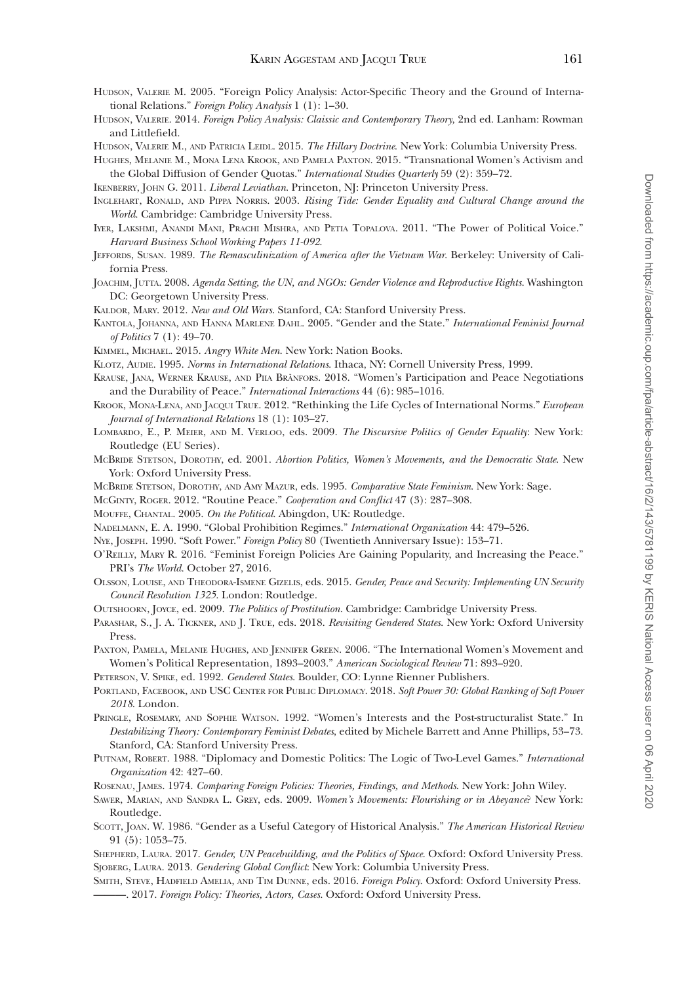- <span id="page-18-28"></span>HUDSON, VALERIE M. 2005. "Foreign Policy Analysis: Actor-Specific Theory and the Ground of International Relations." *Foreign Policy Analysis* 1 (1): 1–30.
- <span id="page-18-25"></span>HUDSON, VALERIE. 2014. *Foreign Policy Analysis: Claissic and Contemporary Theory,* 2nd ed. Lanham: Rowman and Littlefield.
- <span id="page-18-1"></span>HUDSON, VALERIE M., AND PATRICIA LEIDL. 2015. *The Hillary Doctrine*. New York: Columbia University Press.
- <span id="page-18-21"></span>HUGHES, MELANIE M., MONA LENA KROOK, AND PAMELA PAXTON. 2015. "Transnational Women's Activism and the Global Diffusion of Gender Quotas." *International Studies Quarterly* 59 (2): 359–72.
- <span id="page-18-35"></span>IKENBERRY, JOHN G. 2011. *Liberal Leviathan*. Princeton, NJ: Princeton University Press.
- <span id="page-18-7"></span>INGLEHART, RONALD, AND PIPPA NORRIS. 2003. *Rising Tide: Gender Equality and Cultural Change around the World*. Cambridge: Cambridge University Press.
- <span id="page-18-29"></span>IYER, LAKSHMI, ANANDI MANI, PRACHI MISHRA, AND PETIA TOPALOVA. 2011. "The Power of Political Voice." *Harvard Business School Working Papers 11-092*.
- <span id="page-18-6"></span>JEFFORDS, SUSAN. 1989. *The Remasculinization of America after the Vietnam War*. Berkeley: University of California Press.
- <span id="page-18-32"></span>JOACHIM, JUTTA. 2008. *Agenda Setting, the UN, and NGOs: Gender Violence and Reproductive Rights*. Washington DC: Georgetown University Press.
- <span id="page-18-3"></span>KALDOR, MARY. 2012. *New and Old Wars*. Stanford, CA: Stanford University Press.
- <span id="page-18-15"></span>KANTOLA, JOHANNA, AND HANNA MARLENE DAHL. 2005. "Gender and the State." *International Feminist Journal of Politics* 7 (1): 49–70.
- KIMMEL, MICHAEL. 2015. *Angry White Men*. New York: Nation Books.
- <span id="page-18-19"></span>KLOTZ, AUDIE. 1995. *Norms in International Relations*. Ithaca, NY: Cornell University Press, 1999.
- <span id="page-18-2"></span>KRAUSE, JANA, WERNER KRAUSE, AND PIIA BRÄNFORS. 2018. "Women's Participation and Peace Negotiations and the Durability of Peace." *International Interactions* 44 (6): 985–1016.
- <span id="page-18-20"></span>KROOK, MONA-LENA, AND JACQUI TRUE. 2012. "Rethinking the Life Cycles of International Norms." *European Journal of International Relations* 18 (1): 103–27.
- <span id="page-18-22"></span>LOMBARDO, E., P. MEIER, AND M. VERLOO, eds. 2009. *The Discursive Politics of Gender Equality*: New York: Routledge (EU Series).
- <span id="page-18-17"></span>MCBRIDE STETSON, DOROTHY, ed. 2001. *Abortion Politics, Women's Movements, and the Democratic State*. New York: Oxford University Press.
- <span id="page-18-9"></span>MCBRIDE STETSON, DOROTHY, AND AMY MAZUR, eds. 1995. *Comparative State Feminism*. New York: Sage.
- <span id="page-18-4"></span>MCGINTY, ROGER. 2012. "Routine Peace." *Cooperation and Conflict* 47 (3): 287–308.
- <span id="page-18-5"></span>MOUFFE, CHANTAL. 2005. *On the Political*. Abingdon, UK: Routledge.
- <span id="page-18-30"></span>NADELMANN, E. A. 1990. "Global Prohibition Regimes." *International Organization* 44: 479–526.
- <span id="page-18-33"></span>NYE, JOSEPH. 1990. "Soft Power." *Foreign Policy* 80 (Twentieth Anniversary Issue): 153–71.
- <span id="page-18-0"></span>O'REILLY, MARY R. 2016. "Feminist Foreign Policies Are Gaining Popularity, and Increasing the Peace." PRI's *The World*. October 27, 2016.
- <span id="page-18-8"></span>OLSSON, LOUISE, AND THEODORA-ISMENE GIZELIS, eds. 2015. *Gender, Peace and Security: Implementing UN Security Council Resolution 1325*. London: Routledge.
- <span id="page-18-18"></span>OUTSHOORN, JOYCE, ed. 2009. *The Politics of Prostitution*. Cambridge: Cambridge University Press.
- <span id="page-18-13"></span>PARASHAR, S., J. A. TICKNER, AND J. TRUE, eds. 2018. *Revisiting Gendered States*. New York: Oxford University Press.
- <span id="page-18-31"></span>PAXTON, PAMELA, MELANIE HUGHES, AND JENNIFER GREEN. 2006. "The International Women's Movement and Women's Political Representation, 1893–2003." *American Sociological Review* 71: 893–920.
- <span id="page-18-12"></span>PETERSON, V. SPIKE, ed. 1992. *Gendered States*. Boulder, CO: Lynne Rienner Publishers.
- <span id="page-18-36"></span>PORTLAND, FACEBOOK, AND USC CENTER FOR PUBLIC DIPLOMACY. 2018. *Soft Power 30: Global Ranking of Soft Power 2018*. London.
- <span id="page-18-14"></span>PRINGLE, ROSEMARY, AND SOPHIE WATSON. 1992. "Women's Interests and the Post-structuralist State." In *Destabilizing Theory: Contemporary Feminist Debates*, edited by Michele Barrett and Anne Phillips, 53–73. Stanford, CA: Stanford University Press.
- <span id="page-18-26"></span>PUTNAM, ROBERT. 1988. "Diplomacy and Domestic Politics: The Logic of Two-Level Games." *International Organization* 42: 427–60.
- <span id="page-18-23"></span>ROSENAU, JAMES. 1974. *Comparing Foreign Policies: Theories, Findings, and Methods*. New York: John Wiley.
- <span id="page-18-16"></span>SAWER, MARIAN, AND SANDRA L. GREY, eds. 2009. *Women's Movements: Flourishing or in Abeyance*? New York: Routledge.
- <span id="page-18-34"></span>SCOTT, JOAN. W. 1986. "Gender as a Useful Category of Historical Analysis." *The American Historical Review* 91 (5): 1053–75.
- <span id="page-18-11"></span>SHEPHERD, LAURA. 2017. *Gender, UN Peacebuilding, and the Politics of Space*. Oxford: Oxford University Press. SJOBERG, LAURA. 2013. *Gendering Global Conflict*: New York: Columbia University Press.
- <span id="page-18-27"></span><span id="page-18-24"></span><span id="page-18-10"></span>SMITH, STEVE, HADFIELD AMELIA, AND TIM DUNNE, eds. 2016. *Foreign Policy*. Oxford: Oxford University Press. ———. 2017. *Foreign Policy: Theories, Actors, Cases*. Oxford: Oxford University Press.